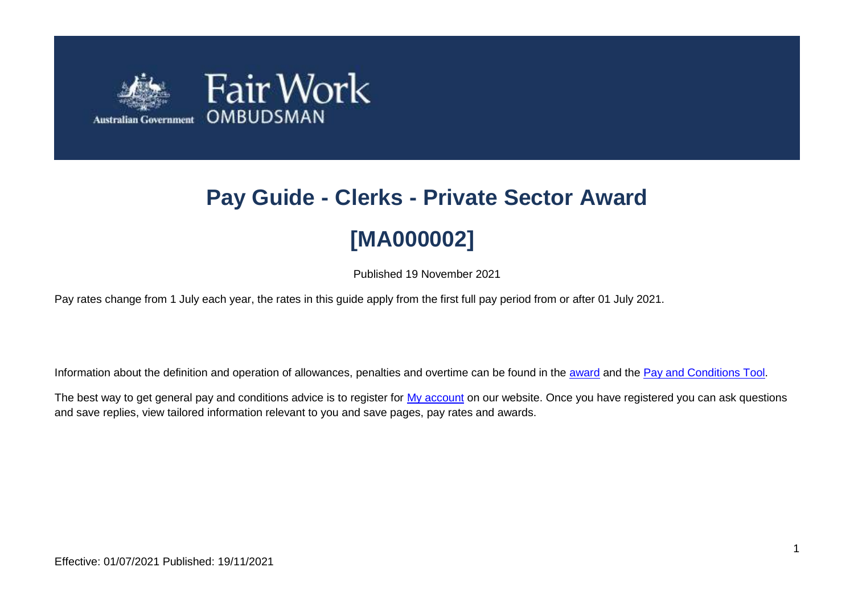

# **Pay Guide - Clerks - Private Sector Award [MA000002]**

Published 19 November 2021

Pay rates change from 1 July each year, the rates in this guide apply from the first full pay period from or after 01 July 2021.

Information about the definition and operation of allowances, penalties and overtime can be found in the [award](https://www.fairwork.gov.au/awards-and-agreements/awards/list-of-awards) and the [Pay and Conditions Tool.](https://calculate.fairwork.gov.au/)

The best way to get general pay and conditions advice is to register for [My account](https://www.fairwork.gov.au/my-account/registerpage.aspx) on our website. Once you have registered you can ask questions and save replies, view tailored information relevant to you and save pages, pay rates and awards.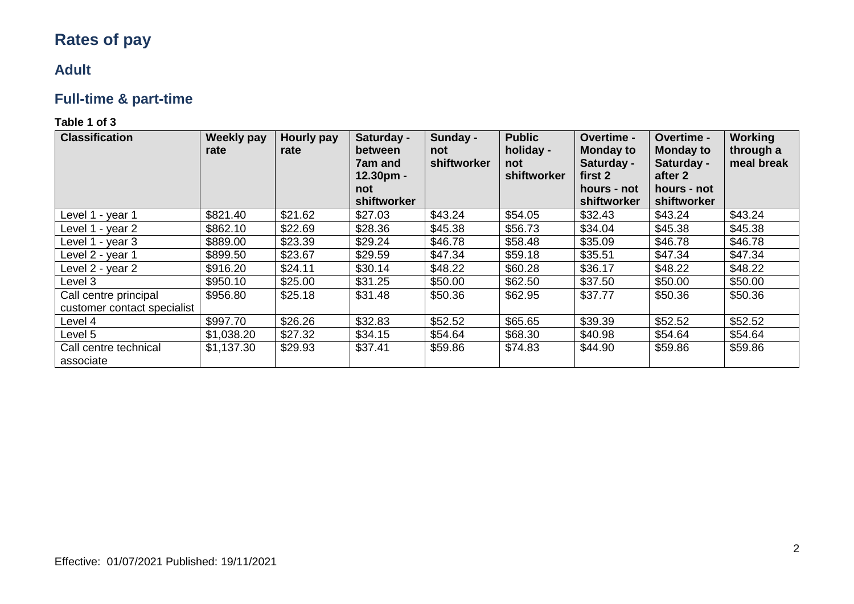# **Rates of pay**

### **Adult**

## **Full-time & part-time**

| <b>Classification</b>                                | <b>Weekly pay</b><br>rate | <b>Hourly pay</b><br>rate | Saturday -<br>between<br><b>7am and</b><br>$12.30pm$ -<br>not<br>shiftworker | Sunday -<br>not<br>shiftworker | <b>Public</b><br>holiday -<br>not<br>shiftworker | <b>Overtime -</b><br><b>Monday to</b><br>Saturday -<br>first 2<br>hours - not<br>shiftworker | <b>Overtime -</b><br><b>Monday to</b><br>Saturday -<br>after 2<br>hours - not<br>shiftworker | <b>Working</b><br>through a<br>meal break |
|------------------------------------------------------|---------------------------|---------------------------|------------------------------------------------------------------------------|--------------------------------|--------------------------------------------------|----------------------------------------------------------------------------------------------|----------------------------------------------------------------------------------------------|-------------------------------------------|
| Level 1 - year 1                                     | \$821.40                  | \$21.62                   | \$27.03                                                                      | \$43.24                        | \$54.05                                          | \$32.43                                                                                      | \$43.24                                                                                      | \$43.24                                   |
| Level 1 - year 2                                     | \$862.10                  | \$22.69                   | \$28.36                                                                      | \$45.38                        | \$56.73                                          | \$34.04                                                                                      | \$45.38                                                                                      | \$45.38                                   |
| Level 1 - year 3                                     | \$889.00                  | \$23.39                   | \$29.24                                                                      | \$46.78                        | \$58.48                                          | \$35.09                                                                                      | \$46.78                                                                                      | \$46.78                                   |
| Level 2 - year 1                                     | \$899.50                  | \$23.67                   | \$29.59                                                                      | \$47.34                        | \$59.18                                          | \$35.51                                                                                      | \$47.34                                                                                      | \$47.34                                   |
| Level 2 - year 2                                     | \$916.20                  | \$24.11                   | \$30.14                                                                      | \$48.22                        | \$60.28                                          | \$36.17                                                                                      | \$48.22                                                                                      | \$48.22                                   |
| Level 3                                              | \$950.10                  | \$25.00                   | \$31.25                                                                      | \$50.00                        | \$62.50                                          | \$37.50                                                                                      | \$50.00                                                                                      | \$50.00                                   |
| Call centre principal<br>customer contact specialist | \$956.80                  | \$25.18                   | \$31.48                                                                      | \$50.36                        | \$62.95                                          | \$37.77                                                                                      | \$50.36                                                                                      | \$50.36                                   |
| Level 4                                              | \$997.70                  | \$26.26                   | \$32.83                                                                      | \$52.52                        | \$65.65                                          | \$39.39                                                                                      | \$52.52                                                                                      | \$52.52                                   |
| Level 5                                              | \$1,038.20                | \$27.32                   | \$34.15                                                                      | \$54.64                        | \$68.30                                          | \$40.98                                                                                      | \$54.64                                                                                      | \$54.64                                   |
| Call centre technical<br>associate                   | \$1,137.30                | \$29.93                   | \$37.41                                                                      | \$59.86                        | \$74.83                                          | \$44.90                                                                                      | \$59.86                                                                                      | \$59.86                                   |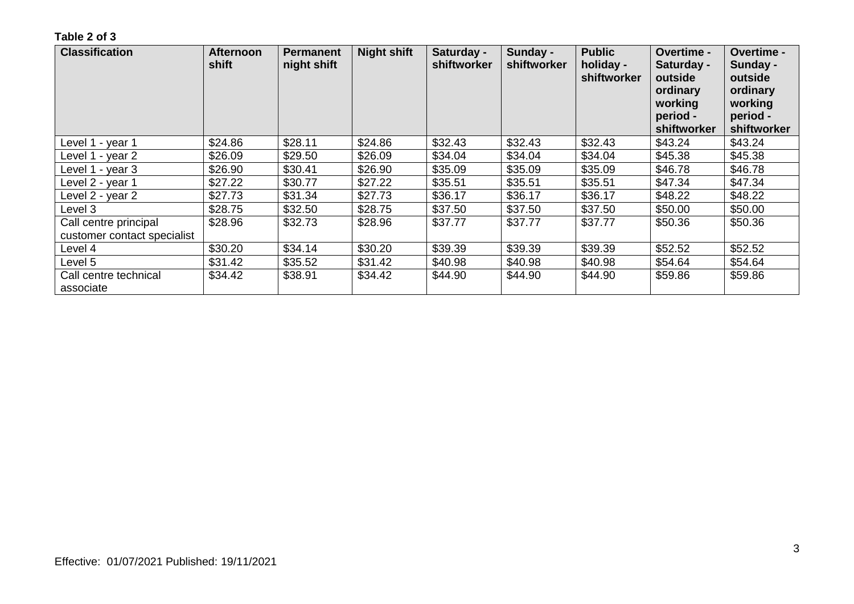| <b>Classification</b>                                | <b>Afternoon</b><br>shift | <b>Permanent</b><br>night shift | <b>Night shift</b> | Saturday -<br>shiftworker | Sunday -<br>shiftworker | <b>Public</b><br>holiday -<br>shiftworker | Overtime -<br>Saturday -<br>outside<br>ordinary<br>working<br>period -<br>shiftworker | Overtime -<br>Sunday -<br>outside<br>ordinary<br>working<br>period -<br>shiftworker |
|------------------------------------------------------|---------------------------|---------------------------------|--------------------|---------------------------|-------------------------|-------------------------------------------|---------------------------------------------------------------------------------------|-------------------------------------------------------------------------------------|
| Level 1 - year 1                                     | \$24.86                   | \$28.11                         | \$24.86            | \$32.43                   | \$32.43                 | \$32.43                                   | \$43.24                                                                               | \$43.24                                                                             |
| Level 1 - year 2                                     | \$26.09                   | \$29.50                         | \$26.09            | \$34.04                   | \$34.04                 | \$34.04                                   | \$45.38                                                                               | \$45.38                                                                             |
| Level 1 - year 3                                     | \$26.90                   | \$30.41                         | \$26.90            | \$35.09                   | \$35.09                 | \$35.09                                   | \$46.78                                                                               | \$46.78                                                                             |
| Level 2 - year 1                                     | \$27.22                   | \$30.77                         | \$27.22            | \$35.51                   | \$35.51                 | \$35.51                                   | \$47.34                                                                               | \$47.34                                                                             |
| Level 2 - year 2                                     | \$27.73                   | \$31.34                         | \$27.73            | \$36.17                   | \$36.17                 | \$36.17                                   | \$48.22                                                                               | \$48.22                                                                             |
| Level 3                                              | \$28.75                   | \$32.50                         | \$28.75            | \$37.50                   | \$37.50                 | \$37.50                                   | \$50.00                                                                               | \$50.00                                                                             |
| Call centre principal<br>customer contact specialist | \$28.96                   | \$32.73                         | \$28.96            | \$37.77                   | \$37.77                 | \$37.77                                   | \$50.36                                                                               | \$50.36                                                                             |
| Level 4                                              | \$30.20                   | \$34.14                         | \$30.20            | \$39.39                   | \$39.39                 | \$39.39                                   | \$52.52                                                                               | \$52.52                                                                             |
| Level 5                                              | \$31.42                   | \$35.52                         | \$31.42            | \$40.98                   | \$40.98                 | \$40.98                                   | \$54.64                                                                               | \$54.64                                                                             |
| Call centre technical<br>associate                   | \$34.42                   | \$38.91                         | \$34.42            | \$44.90                   | \$44.90                 | \$44.90                                   | \$59.86                                                                               | \$59.86                                                                             |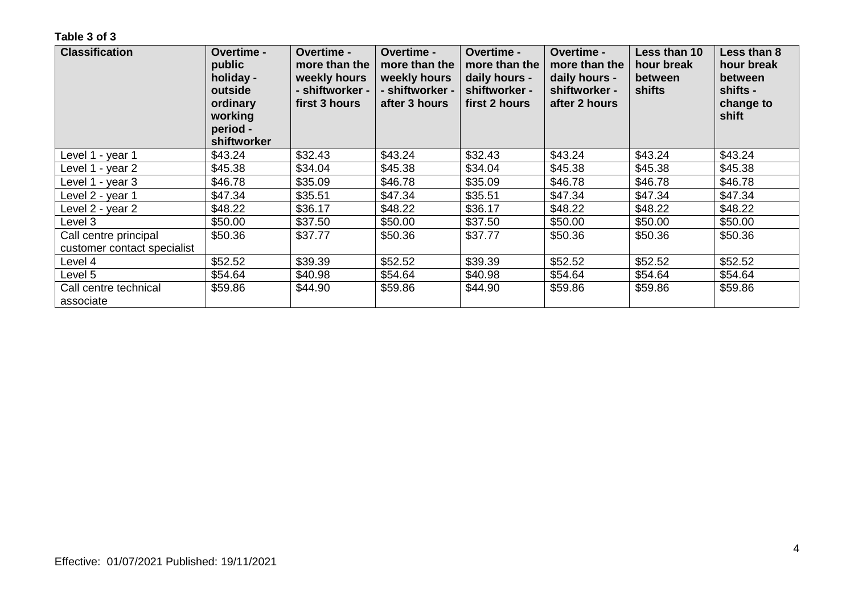| <b>Classification</b>       | <b>Overtime -</b><br>public<br>holiday -<br>outside<br>ordinary<br>working<br>period -<br>shiftworker | Overtime -<br>more than the<br>weekly hours<br>- shiftworker -<br>first 3 hours | <b>Overtime -</b><br>more than the<br>weekly hours<br>- shiftworker -<br>after 3 hours | <b>Overtime -</b><br>more than the<br>daily hours -<br>shiftworker -<br>first 2 hours | <b>Overtime -</b><br>more than the<br>daily hours -<br>shiftworker -<br>after 2 hours | Less than 10<br>hour break<br>between<br>shifts | Less than 8<br>hour break<br>between<br>shifts -<br>change to<br>shift |
|-----------------------------|-------------------------------------------------------------------------------------------------------|---------------------------------------------------------------------------------|----------------------------------------------------------------------------------------|---------------------------------------------------------------------------------------|---------------------------------------------------------------------------------------|-------------------------------------------------|------------------------------------------------------------------------|
| Level 1 - year 1            | \$43.24                                                                                               | \$32.43                                                                         | \$43.24                                                                                | \$32.43                                                                               | \$43.24                                                                               | \$43.24                                         | \$43.24                                                                |
| Level 1 - vear 2            | \$45.38                                                                                               | \$34.04                                                                         | \$45.38                                                                                | \$34.04                                                                               | \$45.38                                                                               | \$45.38                                         | \$45.38                                                                |
| Level 1 - year 3            | \$46.78                                                                                               | \$35.09                                                                         | \$46.78                                                                                | \$35.09                                                                               | \$46.78                                                                               | \$46.78                                         | \$46.78                                                                |
| Level 2 - year 1            | \$47.34                                                                                               | \$35.51                                                                         | \$47.34                                                                                | \$35.51                                                                               | \$47.34                                                                               | \$47.34                                         | \$47.34                                                                |
| Level 2 - year 2            | \$48.22                                                                                               | \$36.17                                                                         | \$48.22                                                                                | \$36.17                                                                               | \$48.22                                                                               | \$48.22                                         | \$48.22                                                                |
| Level 3                     | \$50.00                                                                                               | \$37.50                                                                         | \$50.00                                                                                | \$37.50                                                                               | \$50.00                                                                               | \$50.00                                         | \$50.00                                                                |
| Call centre principal       | \$50.36                                                                                               | \$37.77                                                                         | \$50.36                                                                                | \$37.77                                                                               | \$50.36                                                                               | \$50.36                                         | \$50.36                                                                |
| customer contact specialist |                                                                                                       |                                                                                 |                                                                                        |                                                                                       |                                                                                       |                                                 |                                                                        |
| Level 4                     | \$52.52                                                                                               | \$39.39                                                                         | \$52.52                                                                                | \$39.39                                                                               | \$52.52                                                                               | \$52.52                                         | \$52.52                                                                |
| Level 5                     | \$54.64                                                                                               | \$40.98                                                                         | \$54.64                                                                                | \$40.98                                                                               | \$54.64                                                                               | \$54.64                                         | \$54.64                                                                |
| Call centre technical       | \$59.86                                                                                               | \$44.90                                                                         | \$59.86                                                                                | \$44.90                                                                               | \$59.86                                                                               | \$59.86                                         | \$59.86                                                                |
| associate                   |                                                                                                       |                                                                                 |                                                                                        |                                                                                       |                                                                                       |                                                 |                                                                        |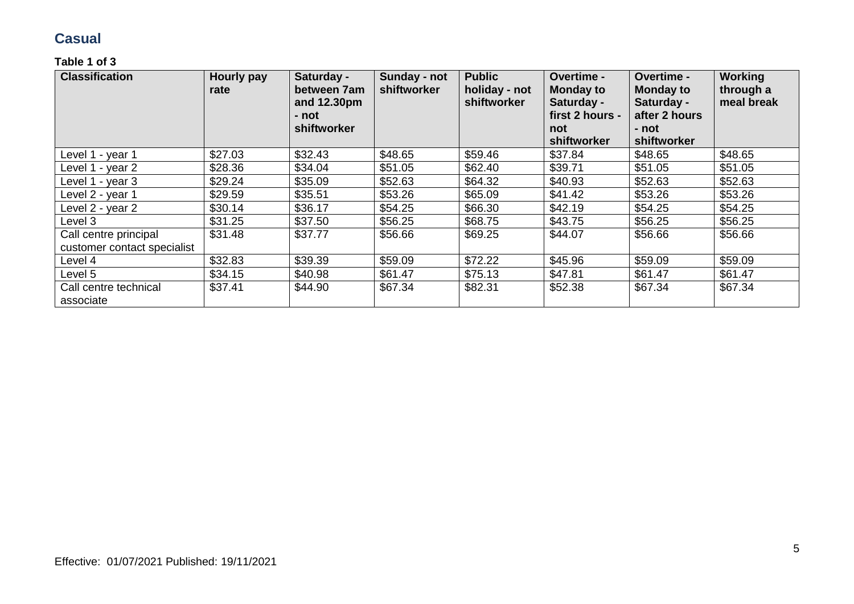### **Casual**

| <b>Classification</b>                                | <b>Hourly pay</b><br>rate | Saturday -<br>between 7am<br>and 12.30pm<br>- not<br>shiftworker | Sunday - not<br>shiftworker | <b>Public</b><br>holiday - not<br>shiftworker | Overtime -<br><b>Monday to</b><br>Saturday -<br>first 2 hours -<br>not<br>shiftworker | Overtime -<br><b>Monday to</b><br>Saturday -<br>after 2 hours<br>- not<br>shiftworker | Working<br>through a<br>meal break |
|------------------------------------------------------|---------------------------|------------------------------------------------------------------|-----------------------------|-----------------------------------------------|---------------------------------------------------------------------------------------|---------------------------------------------------------------------------------------|------------------------------------|
| Level 1 - year 1                                     | \$27.03                   | \$32.43                                                          | \$48.65                     | \$59.46                                       | \$37.84                                                                               | \$48.65                                                                               | \$48.65                            |
| Level 1 - year 2                                     | \$28.36                   | \$34.04                                                          | \$51.05                     | \$62.40                                       | \$39.71                                                                               | \$51.05                                                                               | \$51.05                            |
| Level 1 - year 3                                     | \$29.24                   | \$35.09                                                          | \$52.63                     | \$64.32                                       | \$40.93                                                                               | \$52.63                                                                               | \$52.63                            |
| Level 2 - year 1                                     | \$29.59                   | \$35.51                                                          | \$53.26                     | \$65.09                                       | \$41.42                                                                               | \$53.26                                                                               | \$53.26                            |
| Level 2 - year 2                                     | \$30.14                   | \$36.17                                                          | \$54.25                     | \$66.30                                       | \$42.19                                                                               | \$54.25                                                                               | \$54.25                            |
| Level 3                                              | \$31.25                   | \$37.50                                                          | \$56.25                     | \$68.75                                       | \$43.75                                                                               | \$56.25                                                                               | \$56.25                            |
| Call centre principal<br>customer contact specialist | \$31.48                   | \$37.77                                                          | \$56.66                     | \$69.25                                       | \$44.07                                                                               | \$56.66                                                                               | \$56.66                            |
| Level 4                                              | \$32.83                   | \$39.39                                                          | \$59.09                     | \$72.22                                       | \$45.96                                                                               | \$59.09                                                                               | \$59.09                            |
| Level 5                                              | \$34.15                   | \$40.98                                                          | \$61.47                     | \$75.13                                       | \$47.81                                                                               | \$61.47                                                                               | \$61.47                            |
| Call centre technical<br>associate                   | \$37.41                   | \$44.90                                                          | \$67.34                     | \$82.31                                       | \$52.38                                                                               | \$67.34                                                                               | \$67.34                            |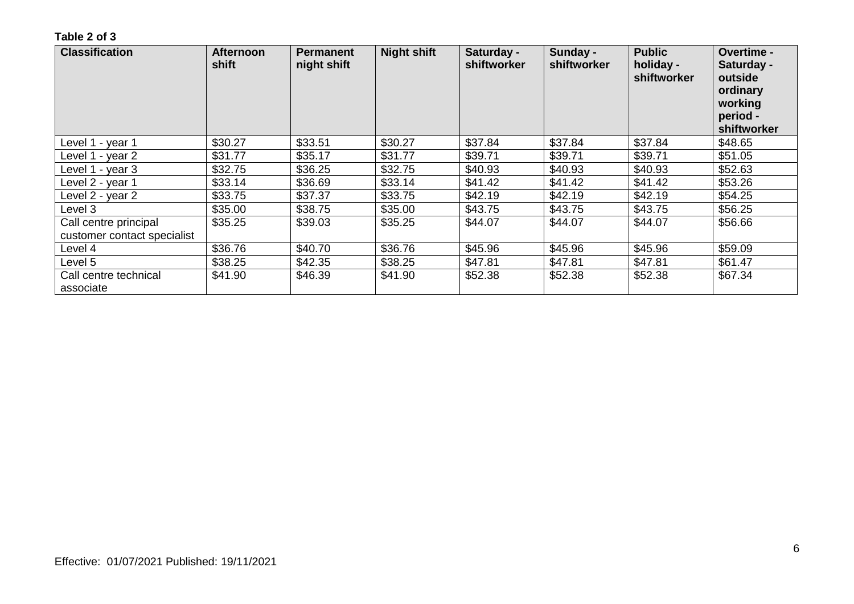| <b>Classification</b>                                | <b>Afternoon</b><br>shift | <b>Permanent</b><br>night shift | <b>Night shift</b> | Saturday -<br>shiftworker | Sunday -<br>shiftworker | <b>Public</b><br>holiday -<br>shiftworker | Overtime -<br>Saturday -<br>outside<br>ordinary<br>working<br>period -<br>shiftworker |
|------------------------------------------------------|---------------------------|---------------------------------|--------------------|---------------------------|-------------------------|-------------------------------------------|---------------------------------------------------------------------------------------|
| Level 1 - year 1                                     | \$30.27                   | \$33.51                         | \$30.27            | \$37.84                   | \$37.84                 | \$37.84                                   | \$48.65                                                                               |
| Level 1 - year 2                                     | \$31.77                   | \$35.17                         | \$31.77            | \$39.71                   | \$39.71                 | \$39.71                                   | \$51.05                                                                               |
| Level 1 - year 3                                     | \$32.75                   | \$36.25                         | \$32.75            | \$40.93                   | \$40.93                 | \$40.93                                   | \$52.63                                                                               |
| Level 2 - year 1                                     | \$33.14                   | \$36.69                         | \$33.14            | \$41.42                   | \$41.42                 | \$41.42                                   | \$53.26                                                                               |
| Level 2 - year 2                                     | \$33.75                   | \$37.37                         | \$33.75            | \$42.19                   | \$42.19                 | \$42.19                                   | \$54.25                                                                               |
| Level 3                                              | \$35.00                   | \$38.75                         | \$35.00            | \$43.75                   | \$43.75                 | \$43.75                                   | \$56.25                                                                               |
| Call centre principal<br>customer contact specialist | \$35.25                   | \$39.03                         | \$35.25            | \$44.07                   | \$44.07                 | \$44.07                                   | \$56.66                                                                               |
| Level 4                                              | \$36.76                   | \$40.70                         | \$36.76            | \$45.96                   | \$45.96                 | \$45.96                                   | \$59.09                                                                               |
| Level 5                                              | \$38.25                   | \$42.35                         | \$38.25            | \$47.81                   | \$47.81                 | \$47.81                                   | \$61.47                                                                               |
| Call centre technical<br>associate                   | \$41.90                   | \$46.39                         | \$41.90            | \$52.38                   | \$52.38                 | \$52.38                                   | \$67.34                                                                               |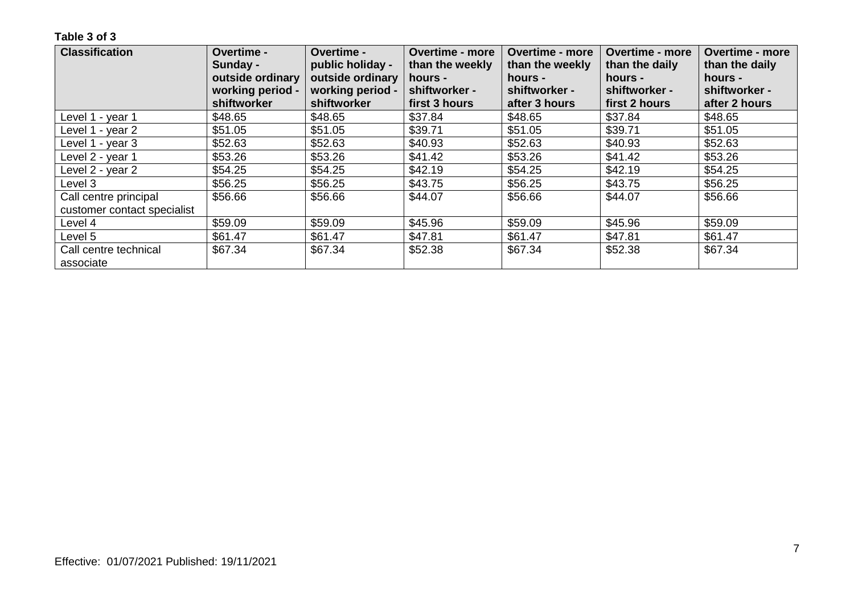| <b>Classification</b>       | Overtime -       | Overtime -       | <b>Overtime - more</b> | <b>Overtime - more</b> | <b>Overtime - more</b> | Overtime - more |
|-----------------------------|------------------|------------------|------------------------|------------------------|------------------------|-----------------|
|                             | Sunday -         | public holiday - | than the weekly        | than the weekly        | than the daily         | than the daily  |
|                             | outside ordinary | outside ordinary | hours -                | hours -                | hours -                | hours -         |
|                             | working period - | working period - | shiftworker -          | shiftworker -          | shiftworker -          | shiftworker -   |
|                             | shiftworker      | shiftworker      | first 3 hours          | after 3 hours          | first 2 hours          | after 2 hours   |
| Level 1 - year 1            | \$48.65          | \$48.65          | \$37.84                | \$48.65                | \$37.84                | \$48.65         |
| Level 1 - year 2            | \$51.05          | \$51.05          | \$39.71                | \$51.05                | \$39.71                | \$51.05         |
| Level 1 - year 3            | \$52.63          | \$52.63          | \$40.93                | \$52.63                | \$40.93                | \$52.63         |
| Level 2 - year 1            | \$53.26          | \$53.26          | \$41.42                | \$53.26                | \$41.42                | \$53.26         |
| Level 2 - year 2            | \$54.25          | \$54.25          | \$42.19                | \$54.25                | \$42.19                | \$54.25         |
| Level 3                     | \$56.25          | \$56.25          | \$43.75                | \$56.25                | \$43.75                | \$56.25         |
| Call centre principal       | \$56.66          | \$56.66          | \$44.07                | \$56.66                | \$44.07                | \$56.66         |
| customer contact specialist |                  |                  |                        |                        |                        |                 |
| Level 4                     | \$59.09          | \$59.09          | \$45.96                | \$59.09                | \$45.96                | \$59.09         |
| Level 5                     | \$61.47          | \$61.47          | \$47.81                | \$61.47                | \$47.81                | \$61.47         |
| Call centre technical       | \$67.34          | \$67.34          | \$52.38                | \$67.34                | \$52.38                | \$67.34         |
| associate                   |                  |                  |                        |                        |                        |                 |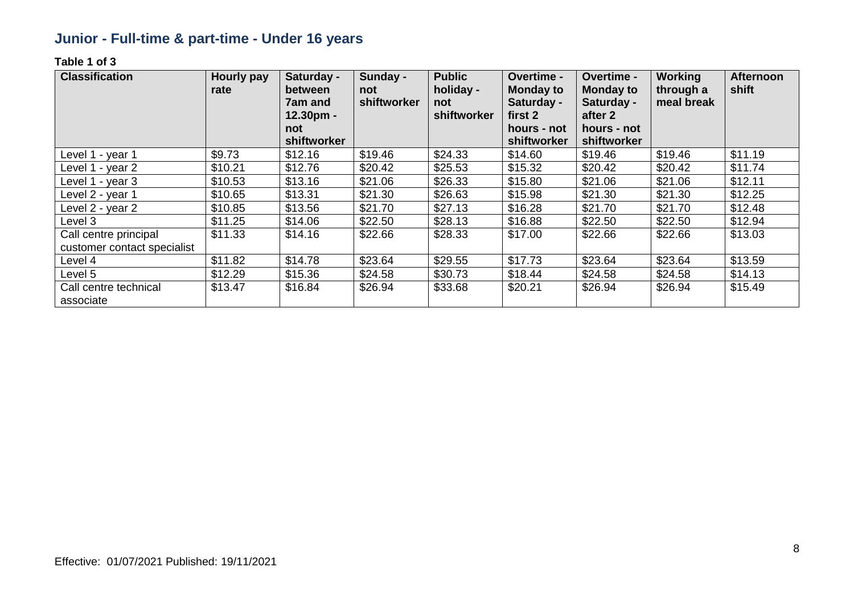## **Junior - Full-time & part-time - Under 16 years**

| <b>Classification</b>                                | <b>Hourly pay</b><br>rate | Saturday -<br>between<br>7am and<br>$12.30pm -$<br>not<br>shiftworker | Sunday -<br>not<br>shiftworker | <b>Public</b><br>holiday -<br>not<br>shiftworker | Overtime -<br><b>Monday to</b><br>Saturday -<br>first 2<br>hours - not<br>shiftworker | <b>Overtime -</b><br><b>Monday to</b><br>Saturday -<br>after 2<br>hours - not<br>shiftworker | <b>Working</b><br>through a<br>meal break | <b>Afternoon</b><br>shift |
|------------------------------------------------------|---------------------------|-----------------------------------------------------------------------|--------------------------------|--------------------------------------------------|---------------------------------------------------------------------------------------|----------------------------------------------------------------------------------------------|-------------------------------------------|---------------------------|
| Level 1 - year 1                                     | \$9.73                    | \$12.16                                                               | \$19.46                        | \$24.33                                          | \$14.60                                                                               | \$19.46                                                                                      | \$19.46                                   | \$11.19                   |
| Level 1 - year 2                                     | \$10.21                   | \$12.76                                                               | \$20.42                        | \$25.53                                          | \$15.32                                                                               | \$20.42                                                                                      | \$20.42                                   | \$11.74                   |
| Level 1 - year 3                                     | \$10.53                   | \$13.16                                                               | \$21.06                        | \$26.33                                          | \$15.80                                                                               | \$21.06                                                                                      | \$21.06                                   | \$12.11                   |
| Level 2 - year 1                                     | \$10.65                   | \$13.31                                                               | \$21.30                        | \$26.63                                          | \$15.98                                                                               | \$21.30                                                                                      | \$21.30                                   | \$12.25                   |
| Level 2 - year 2                                     | \$10.85                   | \$13.56                                                               | \$21.70                        | \$27.13                                          | \$16.28                                                                               | \$21.70                                                                                      | \$21.70                                   | \$12.48                   |
| Level 3                                              | \$11.25                   | \$14.06                                                               | \$22.50                        | \$28.13                                          | \$16.88                                                                               | \$22.50                                                                                      | \$22.50                                   | \$12.94                   |
| Call centre principal<br>customer contact specialist | \$11.33                   | \$14.16                                                               | \$22.66                        | \$28.33                                          | \$17.00                                                                               | \$22.66                                                                                      | \$22.66                                   | \$13.03                   |
| Level 4                                              | \$11.82                   | \$14.78                                                               | \$23.64                        | \$29.55                                          | \$17.73                                                                               | \$23.64                                                                                      | \$23.64                                   | \$13.59                   |
| Level 5                                              | \$12.29                   | \$15.36                                                               | \$24.58                        | \$30.73                                          | \$18.44                                                                               | \$24.58                                                                                      | \$24.58                                   | \$14.13                   |
| Call centre technical<br>associate                   | \$13.47                   | \$16.84                                                               | \$26.94                        | \$33.68                                          | \$20.21                                                                               | \$26.94                                                                                      | \$26.94                                   | \$15.49                   |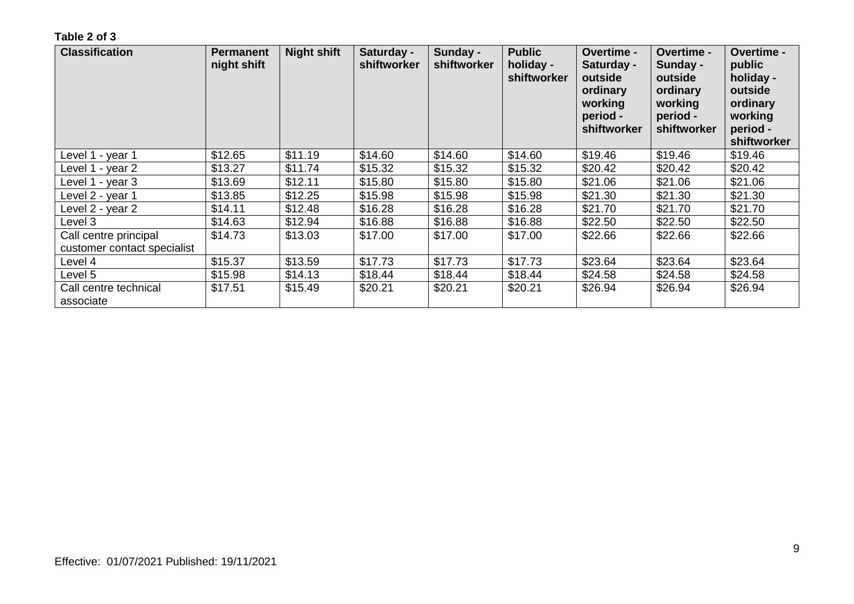| <b>Classification</b>              | <b>Permanent</b><br>night shift | <b>Night shift</b> | Saturday -<br>shiftworker | Sunday -<br>shiftworker | <b>Public</b><br>holiday -<br><b>shiftworker</b> | Overtime -<br>Saturday -<br>outside<br>ordinary<br>working<br>period -<br>shiftworker | <b>Overtime -</b><br>Sunday -<br>outside<br>ordinary<br>working<br>period -<br>shiftworker | Overtime -<br>public<br>holiday -<br>outside<br>ordinary<br>working<br>period -<br>shiftworker |
|------------------------------------|---------------------------------|--------------------|---------------------------|-------------------------|--------------------------------------------------|---------------------------------------------------------------------------------------|--------------------------------------------------------------------------------------------|------------------------------------------------------------------------------------------------|
| Level 1 - year 1                   | \$12.65                         | \$11.19            | \$14.60                   | \$14.60                 | \$14.60                                          | \$19.46                                                                               | \$19.46                                                                                    | \$19.46                                                                                        |
| Level 1 - year 2                   | \$13.27                         | \$11.74            | \$15.32                   | \$15.32                 | \$15.32                                          | \$20.42                                                                               | \$20.42                                                                                    | \$20.42                                                                                        |
| Level 1 - year 3                   | \$13.69                         | \$12.11            | \$15.80                   | \$15.80                 | \$15.80                                          | \$21.06                                                                               | \$21.06                                                                                    | \$21.06                                                                                        |
| Level 2 - year 1                   | \$13.85                         | \$12.25            | \$15.98                   | \$15.98                 | \$15.98                                          | \$21.30                                                                               | \$21.30                                                                                    | \$21.30                                                                                        |
| Level 2 - year 2                   | \$14.11                         | \$12.48            | \$16.28                   | \$16.28                 | \$16.28                                          | \$21.70                                                                               | \$21.70                                                                                    | \$21.70                                                                                        |
| Level 3                            | \$14.63                         | \$12.94            | \$16.88                   | \$16.88                 | \$16.88                                          | \$22.50                                                                               | \$22.50                                                                                    | \$22.50                                                                                        |
| Call centre principal              | \$14.73                         | \$13.03            | \$17.00                   | \$17.00                 | \$17.00                                          | \$22.66                                                                               | \$22.66                                                                                    | \$22.66                                                                                        |
| customer contact specialist        |                                 |                    |                           |                         |                                                  |                                                                                       |                                                                                            |                                                                                                |
| Level 4                            | \$15.37                         | \$13.59            | \$17.73                   | \$17.73                 | \$17.73                                          | \$23.64                                                                               | \$23.64                                                                                    | \$23.64                                                                                        |
| Level 5                            | \$15.98                         | \$14.13            | \$18.44                   | \$18.44                 | \$18.44                                          | \$24.58                                                                               | \$24.58                                                                                    | \$24.58                                                                                        |
| Call centre technical<br>associate | \$17.51                         | \$15.49            | \$20.21                   | \$20.21                 | \$20.21                                          | \$26.94                                                                               | \$26.94                                                                                    | \$26.94                                                                                        |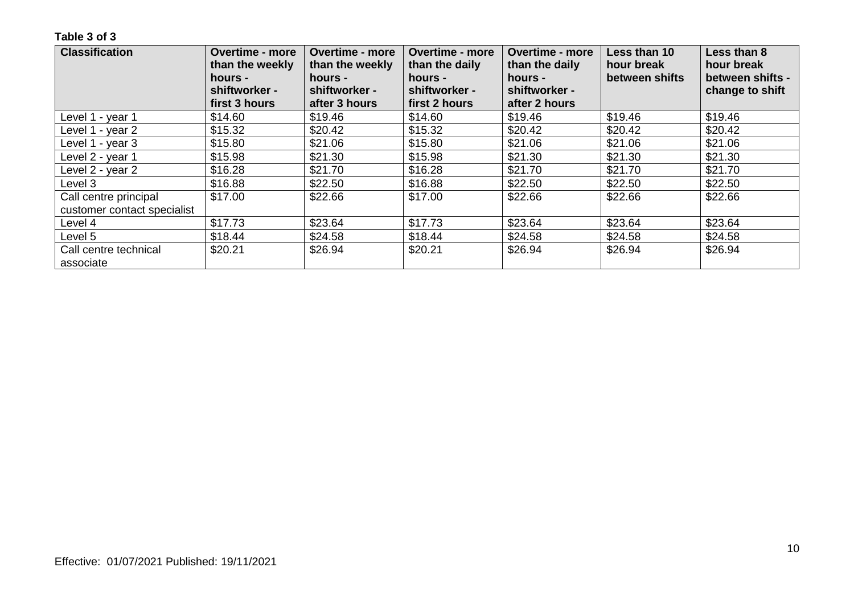| <b>Classification</b>       | <b>Overtime - more</b><br>than the weekly<br>hours -<br>shiftworker - | <b>Overtime - more</b><br>than the weekly<br>hours -<br>shiftworker - | <b>Overtime - more</b><br>than the daily<br>hours -<br>shiftworker - | <b>Overtime - more</b><br>than the daily<br>hours -<br>shiftworker - | Less than 10<br>hour break<br>between shifts | Less than 8<br>hour break<br>between shifts -<br>change to shift |
|-----------------------------|-----------------------------------------------------------------------|-----------------------------------------------------------------------|----------------------------------------------------------------------|----------------------------------------------------------------------|----------------------------------------------|------------------------------------------------------------------|
|                             | first 3 hours                                                         | after 3 hours                                                         | first 2 hours                                                        | after 2 hours                                                        |                                              |                                                                  |
| Level 1 - year 1            | \$14.60                                                               | \$19.46                                                               | \$14.60                                                              | \$19.46                                                              | \$19.46                                      | \$19.46                                                          |
| Level 1 - year 2            | \$15.32                                                               | \$20.42                                                               | \$15.32                                                              | \$20.42                                                              | \$20.42                                      | \$20.42                                                          |
| Level 1 - year 3            | \$15.80                                                               | \$21.06                                                               | \$15.80                                                              | \$21.06                                                              | \$21.06                                      | \$21.06                                                          |
| Level 2 - year 1            | \$15.98                                                               | \$21.30                                                               | \$15.98                                                              | \$21.30                                                              | \$21.30                                      | \$21.30                                                          |
| Level 2 - year 2            | \$16.28                                                               | \$21.70                                                               | \$16.28                                                              | \$21.70                                                              | \$21.70                                      | \$21.70                                                          |
| Level 3                     | \$16.88                                                               | \$22.50                                                               | \$16.88                                                              | \$22.50                                                              | \$22.50                                      | \$22.50                                                          |
| Call centre principal       | \$17.00                                                               | \$22.66                                                               | \$17.00                                                              | \$22.66                                                              | \$22.66                                      | \$22.66                                                          |
| customer contact specialist |                                                                       |                                                                       |                                                                      |                                                                      |                                              |                                                                  |
| Level 4                     | \$17.73                                                               | \$23.64                                                               | \$17.73                                                              | \$23.64                                                              | \$23.64                                      | \$23.64                                                          |
| Level 5                     | \$18.44                                                               | \$24.58                                                               | \$18.44                                                              | \$24.58                                                              | \$24.58                                      | \$24.58                                                          |
| Call centre technical       | \$20.21                                                               | \$26.94                                                               | \$20.21                                                              | \$26.94                                                              | \$26.94                                      | \$26.94                                                          |
| associate                   |                                                                       |                                                                       |                                                                      |                                                                      |                                              |                                                                  |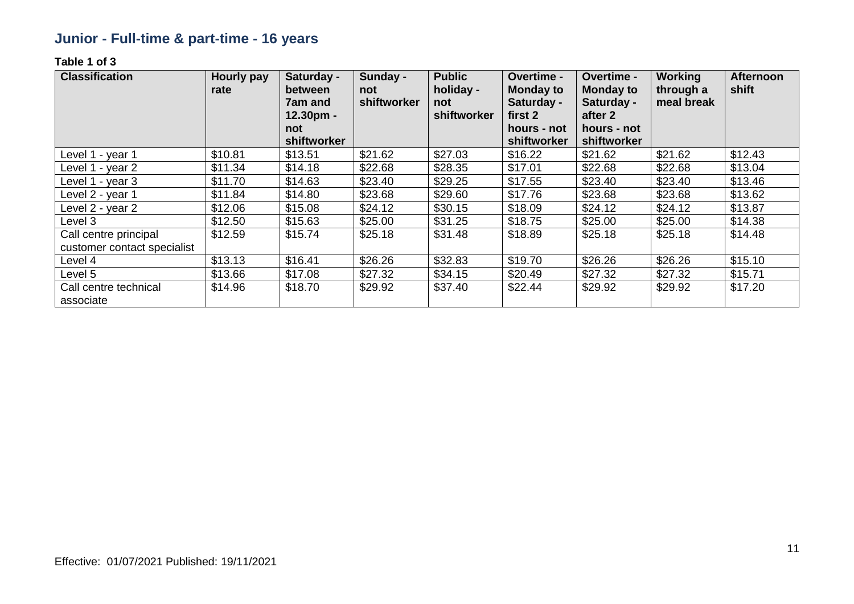## **Junior - Full-time & part-time - 16 years**

| <b>Classification</b>                                | Hourly pay<br>rate | Saturday -<br>between<br>7am and<br>12.30pm -<br>not<br>shiftworker | Sunday -<br>not<br>shiftworker | <b>Public</b><br>holiday -<br>not<br>shiftworker | <b>Overtime -</b><br><b>Monday to</b><br>Saturday -<br>first 2<br>hours - not<br>shiftworker | <b>Overtime -</b><br><b>Monday to</b><br>Saturday -<br>after 2<br>hours - not<br>shiftworker | <b>Working</b><br>through a<br>meal break | <b>Afternoon</b><br>shift |
|------------------------------------------------------|--------------------|---------------------------------------------------------------------|--------------------------------|--------------------------------------------------|----------------------------------------------------------------------------------------------|----------------------------------------------------------------------------------------------|-------------------------------------------|---------------------------|
| Level 1 - year 1                                     | \$10.81            | \$13.51                                                             | \$21.62                        | \$27.03                                          | \$16.22                                                                                      | \$21.62                                                                                      | \$21.62                                   | \$12.43                   |
| Level 1 - year 2                                     | \$11.34            | \$14.18                                                             | \$22.68                        | \$28.35                                          | \$17.01                                                                                      | \$22.68                                                                                      | \$22.68                                   | \$13.04                   |
| Level 1 - year 3                                     | \$11.70            | \$14.63                                                             | \$23.40                        | \$29.25                                          | \$17.55                                                                                      | \$23.40                                                                                      | \$23.40                                   | \$13.46                   |
| Level 2 - year 1                                     | \$11.84            | \$14.80                                                             | \$23.68                        | \$29.60                                          | \$17.76                                                                                      | \$23.68                                                                                      | \$23.68                                   | \$13.62                   |
| Level 2 - year 2                                     | \$12.06            | \$15.08                                                             | \$24.12                        | \$30.15                                          | \$18.09                                                                                      | \$24.12                                                                                      | \$24.12                                   | \$13.87                   |
| Level 3                                              | \$12.50            | \$15.63                                                             | \$25.00                        | \$31.25                                          | \$18.75                                                                                      | \$25.00                                                                                      | \$25.00                                   | \$14.38                   |
| Call centre principal<br>customer contact specialist | \$12.59            | \$15.74                                                             | \$25.18                        | \$31.48                                          | \$18.89                                                                                      | \$25.18                                                                                      | \$25.18                                   | \$14.48                   |
| Level 4                                              | \$13.13            | \$16.41                                                             | \$26.26                        | \$32.83                                          | \$19.70                                                                                      | \$26.26                                                                                      | \$26.26                                   | \$15.10                   |
| Level 5                                              | \$13.66            | \$17.08                                                             | \$27.32                        | \$34.15                                          | \$20.49                                                                                      | \$27.32                                                                                      | \$27.32                                   | \$15.71                   |
| Call centre technical<br>associate                   | \$14.96            | \$18.70                                                             | \$29.92                        | \$37.40                                          | \$22.44                                                                                      | \$29.92                                                                                      | \$29.92                                   | \$17.20                   |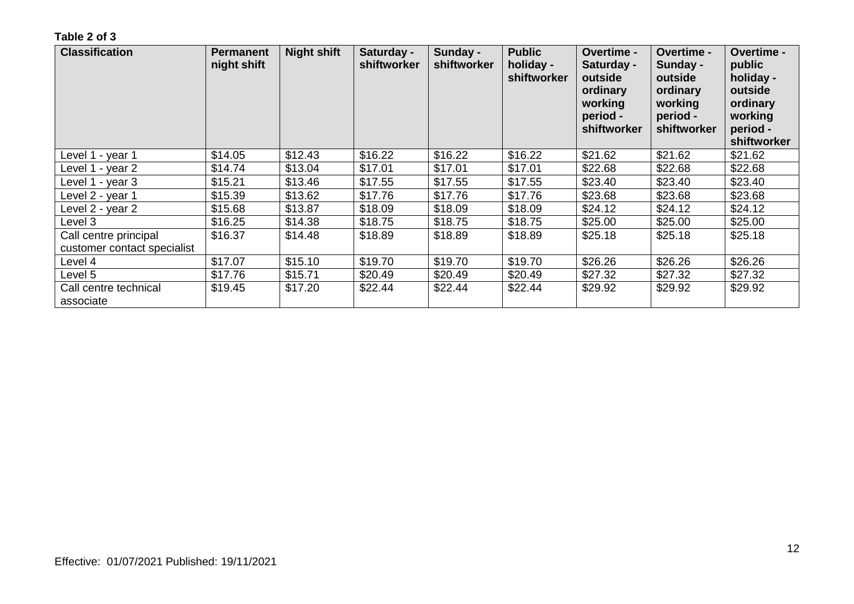| <b>Classification</b>              | <b>Permanent</b><br>night shift | <b>Night shift</b> | Saturday -<br>shiftworker | Sunday -<br>shiftworker | <b>Public</b><br>holiday -<br><b>shiftworker</b> | Overtime -<br>Saturday -<br>outside<br>ordinary<br>working<br>period -<br>shiftworker | Overtime -<br>Sunday -<br>outside<br>ordinary<br>working<br>period -<br>shiftworker | Overtime -<br>public<br>holiday -<br>outside<br>ordinary<br>working<br>period -<br>shiftworker |
|------------------------------------|---------------------------------|--------------------|---------------------------|-------------------------|--------------------------------------------------|---------------------------------------------------------------------------------------|-------------------------------------------------------------------------------------|------------------------------------------------------------------------------------------------|
| Level 1 - year 1                   | \$14.05                         | \$12.43            | \$16.22                   | \$16.22                 | \$16.22                                          | \$21.62                                                                               | \$21.62                                                                             | \$21.62                                                                                        |
| Level 1 - year 2                   | \$14.74                         | \$13.04            | \$17.01                   | \$17.01                 | \$17.01                                          | \$22.68                                                                               | \$22.68                                                                             | \$22.68                                                                                        |
| Level 1 - year 3                   | \$15.21                         | \$13.46            | \$17.55                   | \$17.55                 | \$17.55                                          | \$23.40                                                                               | \$23.40                                                                             | \$23.40                                                                                        |
| Level 2 - year 1                   | \$15.39                         | \$13.62            | \$17.76                   | \$17.76                 | \$17.76                                          | \$23.68                                                                               | \$23.68                                                                             | \$23.68                                                                                        |
| Level 2 - year 2                   | \$15.68                         | \$13.87            | \$18.09                   | \$18.09                 | \$18.09                                          | \$24.12                                                                               | \$24.12                                                                             | \$24.12                                                                                        |
| Level 3                            | \$16.25                         | \$14.38            | \$18.75                   | \$18.75                 | \$18.75                                          | \$25.00                                                                               | \$25.00                                                                             | \$25.00                                                                                        |
| Call centre principal              | \$16.37                         | \$14.48            | \$18.89                   | \$18.89                 | \$18.89                                          | \$25.18                                                                               | \$25.18                                                                             | \$25.18                                                                                        |
| customer contact specialist        |                                 |                    |                           |                         |                                                  |                                                                                       |                                                                                     |                                                                                                |
| Level 4                            | \$17.07                         | \$15.10            | \$19.70                   | \$19.70                 | \$19.70                                          | \$26.26                                                                               | \$26.26                                                                             | \$26.26                                                                                        |
| Level 5                            | \$17.76                         | \$15.71            | \$20.49                   | \$20.49                 | \$20.49                                          | \$27.32                                                                               | \$27.32                                                                             | \$27.32                                                                                        |
| Call centre technical<br>associate | \$19.45                         | \$17.20            | \$22.44                   | \$22.44                 | \$22.44                                          | \$29.92                                                                               | \$29.92                                                                             | \$29.92                                                                                        |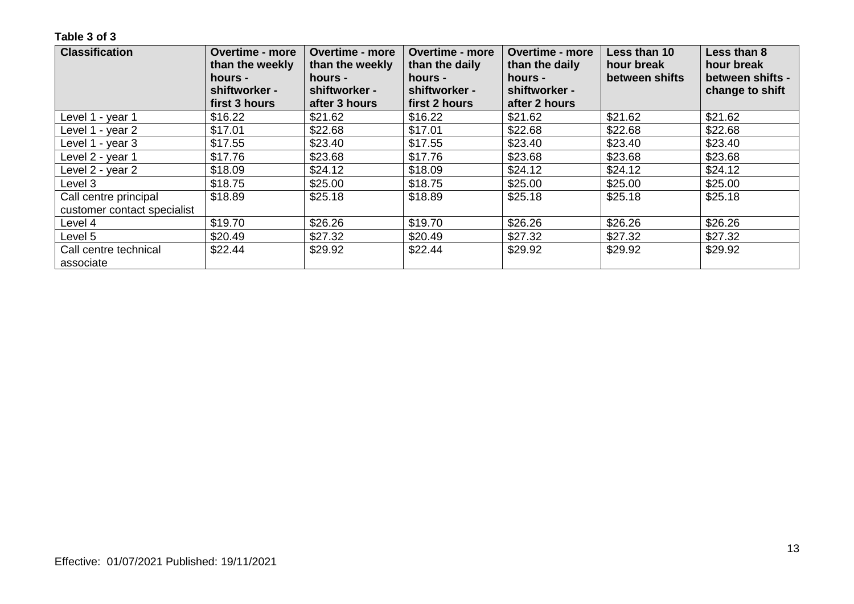| <b>Classification</b>       | <b>Overtime - more</b><br>than the weekly<br>hours -<br>shiftworker - | <b>Overtime - more</b><br>than the weekly<br>hours -<br>shiftworker - | <b>Overtime - more</b><br>than the daily<br>hours -<br>shiftworker - | <b>Overtime - more</b><br>than the daily<br>hours -<br>shiftworker - | Less than 10<br>hour break<br>between shifts | Less than 8<br>hour break<br>between shifts -<br>change to shift |
|-----------------------------|-----------------------------------------------------------------------|-----------------------------------------------------------------------|----------------------------------------------------------------------|----------------------------------------------------------------------|----------------------------------------------|------------------------------------------------------------------|
|                             | first 3 hours                                                         | after 3 hours                                                         | first 2 hours                                                        | after 2 hours                                                        |                                              |                                                                  |
| Level 1 - year 1            | \$16.22                                                               | \$21.62                                                               | \$16.22                                                              | \$21.62                                                              | \$21.62                                      | \$21.62                                                          |
| Level 1 - year 2            | \$17.01                                                               | \$22.68                                                               | \$17.01                                                              | \$22.68                                                              | \$22.68                                      | \$22.68                                                          |
| Level 1 - year 3            | \$17.55                                                               | \$23.40                                                               | \$17.55                                                              | \$23.40                                                              | \$23.40                                      | \$23.40                                                          |
| Level 2 - year 1            | \$17.76                                                               | \$23.68                                                               | \$17.76                                                              | \$23.68                                                              | \$23.68                                      | \$23.68                                                          |
| Level 2 - year 2            | \$18.09                                                               | \$24.12                                                               | \$18.09                                                              | \$24.12                                                              | \$24.12                                      | \$24.12                                                          |
| Level 3                     | \$18.75                                                               | \$25.00                                                               | \$18.75                                                              | \$25.00                                                              | \$25.00                                      | \$25.00                                                          |
| Call centre principal       | \$18.89                                                               | \$25.18                                                               | \$18.89                                                              | \$25.18                                                              | \$25.18                                      | \$25.18                                                          |
| customer contact specialist |                                                                       |                                                                       |                                                                      |                                                                      |                                              |                                                                  |
| Level 4                     | \$19.70                                                               | \$26.26                                                               | \$19.70                                                              | \$26.26                                                              | \$26.26                                      | \$26.26                                                          |
| Level 5                     | \$20.49                                                               | \$27.32                                                               | \$20.49                                                              | \$27.32                                                              | \$27.32                                      | \$27.32                                                          |
| Call centre technical       | \$22.44                                                               | \$29.92                                                               | \$22.44                                                              | \$29.92                                                              | \$29.92                                      | \$29.92                                                          |
| associate                   |                                                                       |                                                                       |                                                                      |                                                                      |                                              |                                                                  |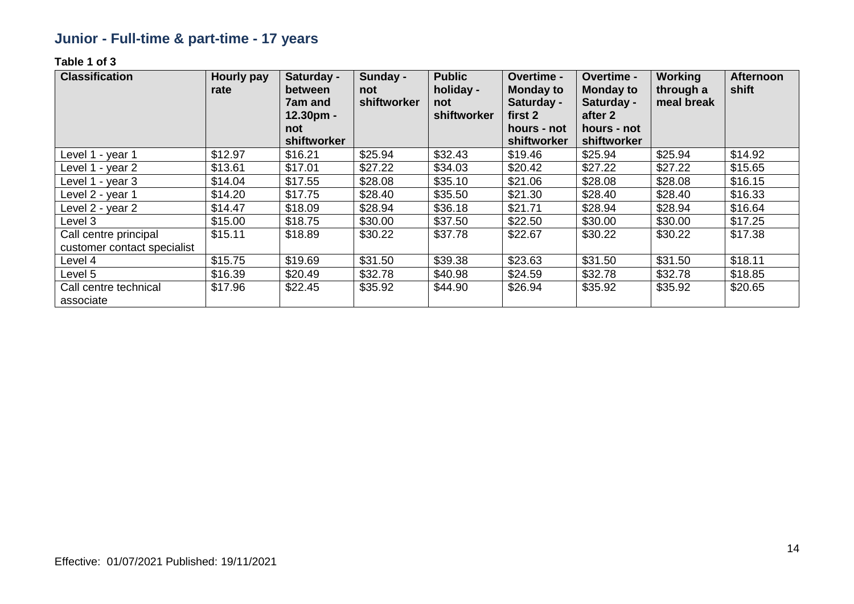## **Junior - Full-time & part-time - 17 years**

| <b>Classification</b>                                | Hourly pay<br>rate | Saturday -<br>between<br>7am and<br>12.30pm -<br>not<br>shiftworker | Sunday -<br>not<br>shiftworker | <b>Public</b><br>holiday -<br>not<br>shiftworker | <b>Overtime -</b><br><b>Monday to</b><br>Saturday -<br>first 2<br>hours - not<br>shiftworker | Overtime -<br><b>Monday to</b><br>Saturday -<br>after 2<br>hours - not<br>shiftworker | <b>Working</b><br>through a<br>meal break | <b>Afternoon</b><br>shift |
|------------------------------------------------------|--------------------|---------------------------------------------------------------------|--------------------------------|--------------------------------------------------|----------------------------------------------------------------------------------------------|---------------------------------------------------------------------------------------|-------------------------------------------|---------------------------|
| Level 1 - year 1                                     | \$12.97            | \$16.21                                                             | \$25.94                        | \$32.43                                          | \$19.46                                                                                      | \$25.94                                                                               | \$25.94                                   | \$14.92                   |
| Level 1 - year 2                                     | \$13.61            | \$17.01                                                             | \$27.22                        | \$34.03                                          | \$20.42                                                                                      | \$27.22                                                                               | \$27.22                                   | \$15.65                   |
| Level 1 - year 3                                     | \$14.04            | \$17.55                                                             | \$28.08                        | \$35.10                                          | \$21.06                                                                                      | \$28.08                                                                               | \$28.08                                   | \$16.15                   |
| Level 2 - year 1                                     | \$14.20            | \$17.75                                                             | \$28.40                        | \$35.50                                          | \$21.30                                                                                      | \$28.40                                                                               | \$28.40                                   | \$16.33                   |
| Level 2 - year 2                                     | \$14.47            | \$18.09                                                             | \$28.94                        | \$36.18                                          | \$21.71                                                                                      | \$28.94                                                                               | \$28.94                                   | \$16.64                   |
| Level 3                                              | \$15.00            | \$18.75                                                             | \$30.00                        | \$37.50                                          | \$22.50                                                                                      | \$30.00                                                                               | \$30.00                                   | \$17.25                   |
| Call centre principal<br>customer contact specialist | \$15.11            | \$18.89                                                             | \$30.22                        | \$37.78                                          | \$22.67                                                                                      | \$30.22                                                                               | \$30.22                                   | \$17.38                   |
| Level 4                                              | \$15.75            | \$19.69                                                             | \$31.50                        | \$39.38                                          | \$23.63                                                                                      | \$31.50                                                                               | \$31.50                                   | \$18.11                   |
| Level 5                                              | \$16.39            | \$20.49                                                             | \$32.78                        | \$40.98                                          | \$24.59                                                                                      | \$32.78                                                                               | \$32.78                                   | \$18.85                   |
| Call centre technical<br>associate                   | \$17.96            | \$22.45                                                             | \$35.92                        | \$44.90                                          | \$26.94                                                                                      | \$35.92                                                                               | \$35.92                                   | \$20.65                   |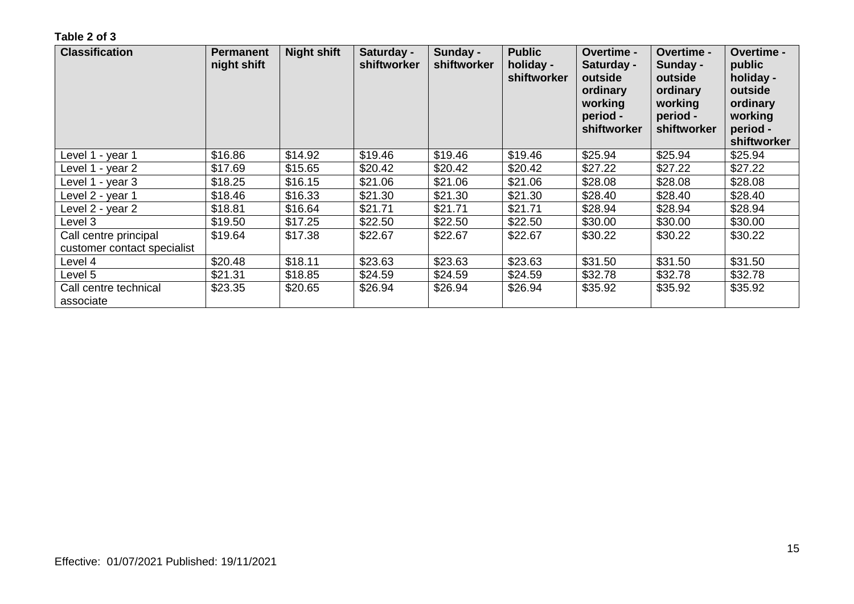| <b>Classification</b>                                | <b>Permanent</b><br>night shift | <b>Night shift</b> | Saturday -<br>shiftworker | Sunday -<br>shiftworker | <b>Public</b><br>holiday -<br>shiftworker | Overtime -<br>Saturday -<br>outside<br>ordinary<br>working<br>period -<br>shiftworker | <b>Overtime -</b><br>Sunday -<br>outside<br>ordinary<br>working<br>period -<br>shiftworker | Overtime -<br>public<br>holiday -<br>outside<br>ordinary<br>working<br>period -<br>shiftworker |
|------------------------------------------------------|---------------------------------|--------------------|---------------------------|-------------------------|-------------------------------------------|---------------------------------------------------------------------------------------|--------------------------------------------------------------------------------------------|------------------------------------------------------------------------------------------------|
| Level 1 - year 1                                     | \$16.86                         | \$14.92            | \$19.46                   | \$19.46                 | \$19.46                                   | \$25.94                                                                               | \$25.94                                                                                    | \$25.94                                                                                        |
| Level 1 - year 2                                     | \$17.69                         | \$15.65            | \$20.42                   | \$20.42                 | \$20.42                                   | \$27.22                                                                               | \$27.22                                                                                    | \$27.22                                                                                        |
| Level 1 - year 3                                     | \$18.25                         | \$16.15            | \$21.06                   | \$21.06                 | \$21.06                                   | \$28.08                                                                               | \$28.08                                                                                    | \$28.08                                                                                        |
| Level 2 - year 1                                     | \$18.46                         | \$16.33            | \$21.30                   | \$21.30                 | \$21.30                                   | \$28.40                                                                               | \$28.40                                                                                    | \$28.40                                                                                        |
| Level 2 - year 2                                     | \$18.81                         | \$16.64            | \$21.71                   | \$21.71                 | \$21.71                                   | \$28.94                                                                               | \$28.94                                                                                    | \$28.94                                                                                        |
| Level 3                                              | \$19.50                         | \$17.25            | \$22.50                   | \$22.50                 | \$22.50                                   | \$30.00                                                                               | \$30.00                                                                                    | \$30.00                                                                                        |
| Call centre principal<br>customer contact specialist | \$19.64                         | \$17.38            | \$22.67                   | \$22.67                 | \$22.67                                   | \$30.22                                                                               | \$30.22                                                                                    | \$30.22                                                                                        |
| Level 4                                              | \$20.48                         | \$18.11            | \$23.63                   | \$23.63                 | \$23.63                                   | \$31.50                                                                               | \$31.50                                                                                    | \$31.50                                                                                        |
| Level 5                                              | \$21.31                         | \$18.85            | \$24.59                   | \$24.59                 | \$24.59                                   | \$32.78                                                                               | \$32.78                                                                                    | \$32.78                                                                                        |
| Call centre technical<br>associate                   | \$23.35                         | \$20.65            | \$26.94                   | \$26.94                 | \$26.94                                   | \$35.92                                                                               | \$35.92                                                                                    | \$35.92                                                                                        |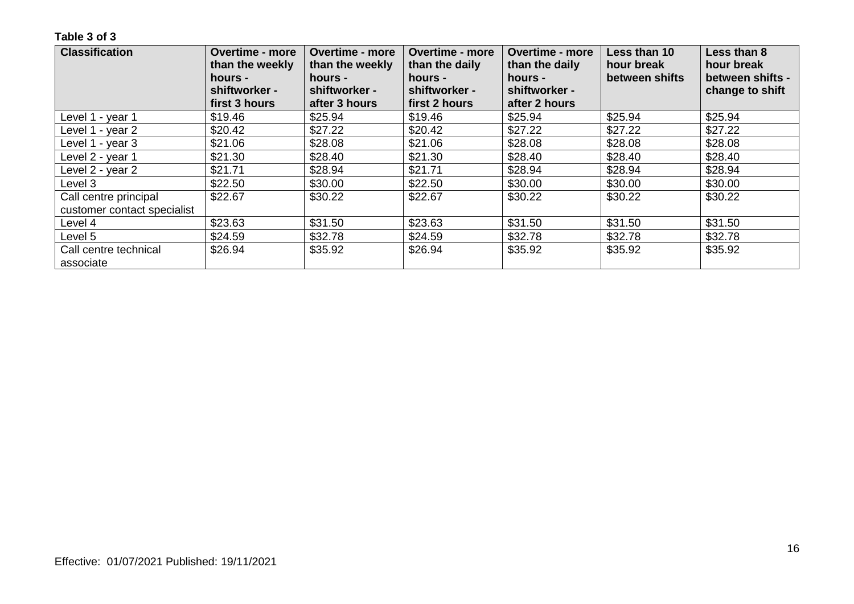| <b>Classification</b>       | <b>Overtime - more</b><br>than the weekly<br>hours -<br>shiftworker - | <b>Overtime - more</b><br>than the weekly<br>hours -<br>shiftworker - | <b>Overtime - more</b><br>than the daily<br>hours -<br>shiftworker - | <b>Overtime - more</b><br>than the daily<br>hours -<br>shiftworker - | Less than 10<br>hour break<br>between shifts | Less than 8<br>hour break<br>between shifts -<br>change to shift |
|-----------------------------|-----------------------------------------------------------------------|-----------------------------------------------------------------------|----------------------------------------------------------------------|----------------------------------------------------------------------|----------------------------------------------|------------------------------------------------------------------|
|                             | first 3 hours                                                         | after 3 hours                                                         | first 2 hours                                                        | after 2 hours                                                        |                                              |                                                                  |
| Level 1 - year 1            | \$19.46                                                               | \$25.94                                                               | \$19.46                                                              | \$25.94                                                              | \$25.94                                      | \$25.94                                                          |
| Level 1 - year 2            | \$20.42                                                               | \$27.22                                                               | \$20.42                                                              | \$27.22                                                              | \$27.22                                      | \$27.22                                                          |
| Level 1 - year 3            | \$21.06                                                               | \$28.08                                                               | \$21.06                                                              | \$28.08                                                              | \$28.08                                      | \$28.08                                                          |
| Level 2 - year 1            | \$21.30                                                               | \$28.40                                                               | \$21.30                                                              | \$28.40                                                              | \$28.40                                      | \$28.40                                                          |
| Level 2 - year 2            | \$21.71                                                               | \$28.94                                                               | \$21.71                                                              | \$28.94                                                              | \$28.94                                      | \$28.94                                                          |
| Level 3                     | \$22.50                                                               | \$30.00                                                               | \$22.50                                                              | \$30.00                                                              | \$30.00                                      | \$30.00                                                          |
| Call centre principal       | \$22.67                                                               | \$30.22                                                               | \$22.67                                                              | \$30.22                                                              | \$30.22                                      | \$30.22                                                          |
| customer contact specialist |                                                                       |                                                                       |                                                                      |                                                                      |                                              |                                                                  |
| Level 4                     | \$23.63                                                               | \$31.50                                                               | \$23.63                                                              | \$31.50                                                              | \$31.50                                      | \$31.50                                                          |
| Level 5                     | \$24.59                                                               | \$32.78                                                               | \$24.59                                                              | \$32.78                                                              | \$32.78                                      | \$32.78                                                          |
| Call centre technical       | \$26.94                                                               | \$35.92                                                               | \$26.94                                                              | \$35.92                                                              | \$35.92                                      | \$35.92                                                          |
| associate                   |                                                                       |                                                                       |                                                                      |                                                                      |                                              |                                                                  |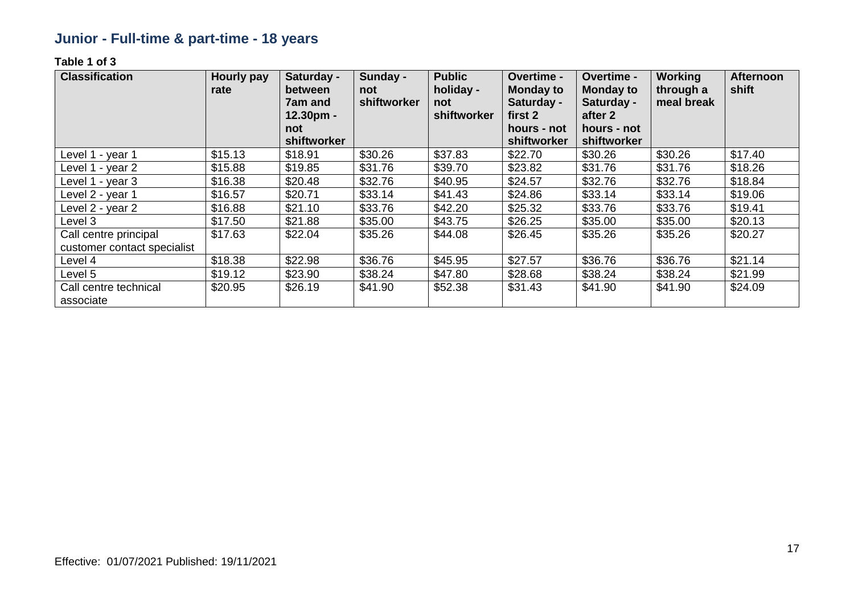## **Junior - Full-time & part-time - 18 years**

| <b>Classification</b>                                | Hourly pay<br>rate | Saturday -<br>between<br>7am and<br>12.30pm -<br>not<br>shiftworker | Sunday -<br>not<br><b>shiftworker</b> | <b>Public</b><br>holiday -<br>not<br>shiftworker | Overtime -<br><b>Monday to</b><br>Saturday -<br>first 2<br>hours - not<br>shiftworker | <b>Overtime -</b><br><b>Monday to</b><br>Saturday -<br>after 2<br>hours - not<br>shiftworker | Working<br>through a<br>meal break | <b>Afternoon</b><br>shift |
|------------------------------------------------------|--------------------|---------------------------------------------------------------------|---------------------------------------|--------------------------------------------------|---------------------------------------------------------------------------------------|----------------------------------------------------------------------------------------------|------------------------------------|---------------------------|
| Level 1 - year 1                                     | \$15.13            | \$18.91                                                             | \$30.26                               | \$37.83                                          | \$22.70                                                                               | \$30.26                                                                                      | \$30.26                            | \$17.40                   |
| Level 1 - year 2                                     | \$15.88            | \$19.85                                                             | \$31.76                               | \$39.70                                          | \$23.82                                                                               | \$31.76                                                                                      | \$31.76                            | \$18.26                   |
| Level 1 - year 3                                     | \$16.38            | \$20.48                                                             | \$32.76                               | \$40.95                                          | \$24.57                                                                               | \$32.76                                                                                      | \$32.76                            | \$18.84                   |
| Level 2 - year 1                                     | \$16.57            | \$20.71                                                             | \$33.14                               | \$41.43                                          | \$24.86                                                                               | \$33.14                                                                                      | \$33.14                            | \$19.06                   |
| Level 2 - year 2                                     | \$16.88            | \$21.10                                                             | \$33.76                               | \$42.20                                          | \$25.32                                                                               | \$33.76                                                                                      | \$33.76                            | \$19.41                   |
| Level 3                                              | \$17.50            | \$21.88                                                             | \$35.00                               | \$43.75                                          | \$26.25                                                                               | \$35.00                                                                                      | \$35.00                            | \$20.13                   |
| Call centre principal<br>customer contact specialist | \$17.63            | \$22.04                                                             | \$35.26                               | \$44.08                                          | \$26.45                                                                               | \$35.26                                                                                      | \$35.26                            | \$20.27                   |
| Level 4                                              | \$18.38            | \$22.98                                                             | \$36.76                               | \$45.95                                          | \$27.57                                                                               | \$36.76                                                                                      | \$36.76                            | \$21.14                   |
| Level 5                                              | \$19.12            | \$23.90                                                             | \$38.24                               | \$47.80                                          | \$28.68                                                                               | \$38.24                                                                                      | \$38.24                            | \$21.99                   |
| Call centre technical<br>associate                   | \$20.95            | \$26.19                                                             | \$41.90                               | \$52.38                                          | \$31.43                                                                               | \$41.90                                                                                      | \$41.90                            | \$24.09                   |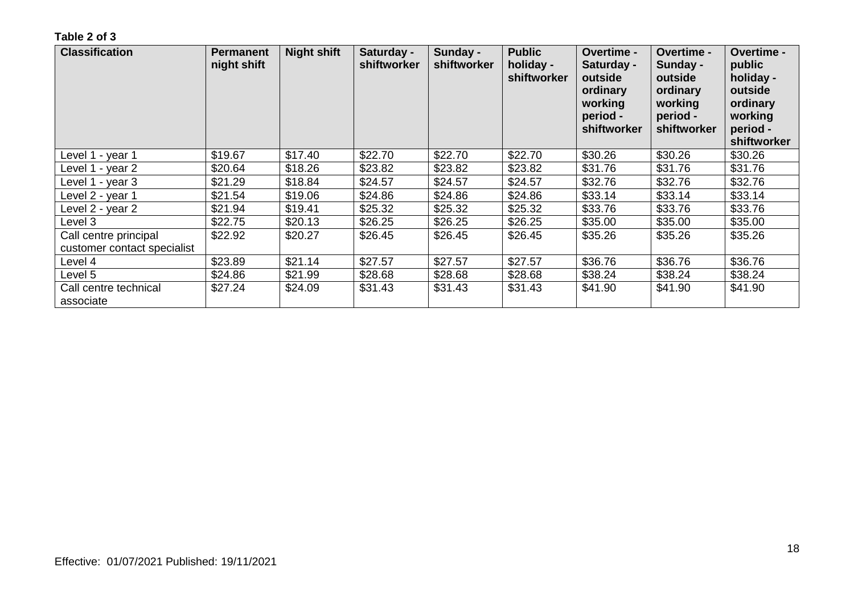| <b>Classification</b>                                | <b>Permanent</b><br>night shift | <b>Night shift</b> | Saturday -<br>shiftworker | Sunday -<br>shiftworker | <b>Public</b><br>holiday -<br>shiftworker | Overtime -<br>Saturday -<br>outside<br>ordinary<br>working<br>period -<br>shiftworker | Overtime -<br>Sunday -<br>outside<br>ordinary<br>working<br>period -<br>shiftworker | Overtime -<br>public<br>holiday -<br>outside<br>ordinary<br>working<br>period -<br>shiftworker |
|------------------------------------------------------|---------------------------------|--------------------|---------------------------|-------------------------|-------------------------------------------|---------------------------------------------------------------------------------------|-------------------------------------------------------------------------------------|------------------------------------------------------------------------------------------------|
| Level 1 - year 1                                     | \$19.67                         | \$17.40            | \$22.70                   | \$22.70                 | \$22.70                                   | \$30.26                                                                               | \$30.26                                                                             | \$30.26                                                                                        |
| Level 1 - year 2                                     | \$20.64                         | \$18.26            | \$23.82                   | \$23.82                 | \$23.82                                   | \$31.76                                                                               | \$31.76                                                                             | \$31.76                                                                                        |
| Level 1 - year 3                                     | \$21.29                         | \$18.84            | \$24.57                   | \$24.57                 | \$24.57                                   | \$32.76                                                                               | \$32.76                                                                             | \$32.76                                                                                        |
| Level 2 - year 1                                     | \$21.54                         | \$19.06            | \$24.86                   | \$24.86                 | \$24.86                                   | \$33.14                                                                               | \$33.14                                                                             | \$33.14                                                                                        |
| Level 2 - year 2                                     | \$21.94                         | \$19.41            | \$25.32                   | \$25.32                 | \$25.32                                   | \$33.76                                                                               | \$33.76                                                                             | \$33.76                                                                                        |
| Level 3                                              | \$22.75                         | \$20.13            | \$26.25                   | \$26.25                 | \$26.25                                   | \$35.00                                                                               | \$35.00                                                                             | \$35.00                                                                                        |
| Call centre principal<br>customer contact specialist | \$22.92                         | \$20.27            | \$26.45                   | \$26.45                 | \$26.45                                   | \$35.26                                                                               | \$35.26                                                                             | \$35.26                                                                                        |
| Level 4                                              | \$23.89                         | \$21.14            | \$27.57                   | \$27.57                 | \$27.57                                   | \$36.76                                                                               | \$36.76                                                                             | \$36.76                                                                                        |
| Level 5                                              | \$24.86                         | \$21.99            | \$28.68                   | \$28.68                 | \$28.68                                   | \$38.24                                                                               | \$38.24                                                                             | \$38.24                                                                                        |
| Call centre technical<br>associate                   | \$27.24                         | \$24.09            | \$31.43                   | \$31.43                 | \$31.43                                   | \$41.90                                                                               | \$41.90                                                                             | \$41.90                                                                                        |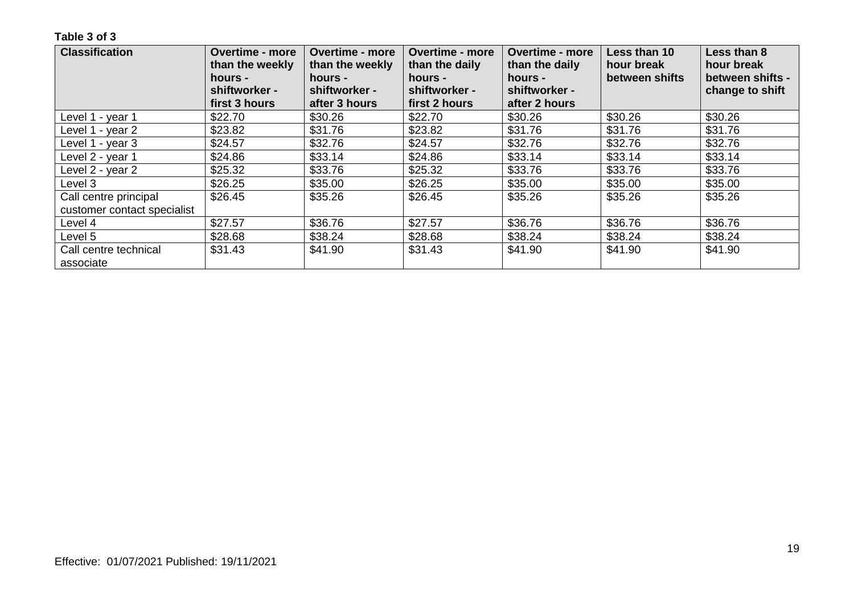| <b>Classification</b>       | <b>Overtime - more</b><br>than the weekly<br>hours - | <b>Overtime - more</b><br>than the weekly<br>hours - | <b>Overtime - more</b><br>than the daily<br>hours - | <b>Overtime - more</b><br>than the daily<br>hours - | Less than 10<br>hour break<br>between shifts | Less than 8<br>hour break<br>between shifts - |
|-----------------------------|------------------------------------------------------|------------------------------------------------------|-----------------------------------------------------|-----------------------------------------------------|----------------------------------------------|-----------------------------------------------|
|                             | shiftworker -                                        | shiftworker -                                        | shiftworker -                                       | shiftworker -                                       |                                              | change to shift                               |
|                             | first 3 hours                                        | after 3 hours                                        | first 2 hours                                       | after 2 hours                                       |                                              |                                               |
| Level 1 - year 1            | \$22.70                                              | \$30.26                                              | \$22.70                                             | \$30.26                                             | \$30.26                                      | \$30.26                                       |
| Level 1 - year 2            | \$23.82                                              | \$31.76                                              | \$23.82                                             | \$31.76                                             | \$31.76                                      | \$31.76                                       |
| Level 1 - year 3            | \$24.57                                              | \$32.76                                              | \$24.57                                             | \$32.76                                             | \$32.76                                      | \$32.76                                       |
| Level 2 - year 1            | \$24.86                                              | \$33.14                                              | \$24.86                                             | \$33.14                                             | \$33.14                                      | \$33.14                                       |
| Level 2 - year 2            | \$25.32                                              | \$33.76                                              | \$25.32                                             | \$33.76                                             | \$33.76                                      | \$33.76                                       |
| Level 3                     | \$26.25                                              | \$35.00                                              | \$26.25                                             | \$35.00                                             | \$35.00                                      | \$35.00                                       |
| Call centre principal       | \$26.45                                              | \$35.26                                              | \$26.45                                             | \$35.26                                             | \$35.26                                      | \$35.26                                       |
| customer contact specialist |                                                      |                                                      |                                                     |                                                     |                                              |                                               |
| Level 4                     | \$27.57                                              | \$36.76                                              | \$27.57                                             | \$36.76                                             | \$36.76                                      | \$36.76                                       |
| Level 5                     | \$28.68                                              | \$38.24                                              | \$28.68                                             | \$38.24                                             | \$38.24                                      | \$38.24                                       |
| Call centre technical       | \$31.43                                              | \$41.90                                              | \$31.43                                             | \$41.90                                             | \$41.90                                      | \$41.90                                       |
| associate                   |                                                      |                                                      |                                                     |                                                     |                                              |                                               |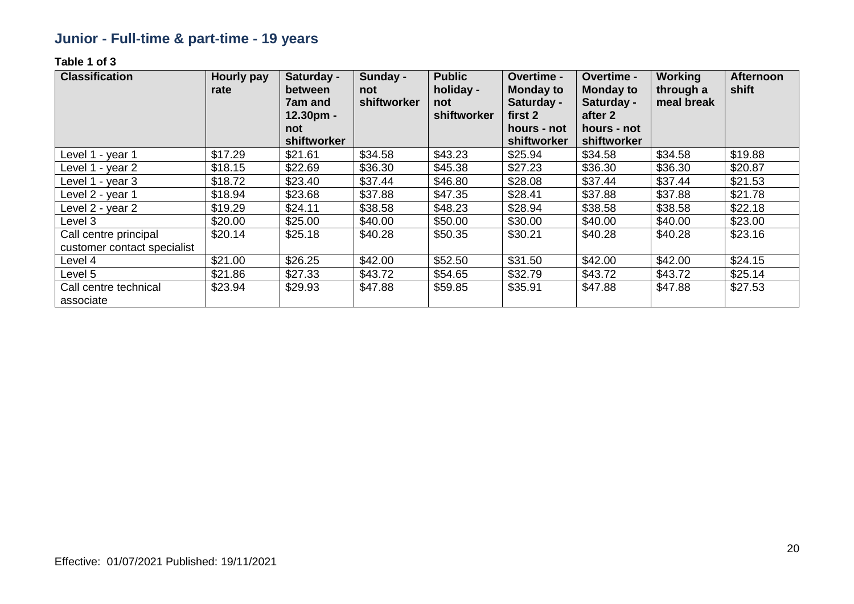## **Junior - Full-time & part-time - 19 years**

| <b>Classification</b>                                | Hourly pay<br>rate | Saturday -<br>between<br>7am and<br>12.30pm -<br>not<br>shiftworker | Sunday -<br>not<br>shiftworker | <b>Public</b><br>holiday -<br>not<br>shiftworker | <b>Overtime -</b><br><b>Monday to</b><br>Saturday -<br>first 2<br>hours - not<br>shiftworker | Overtime -<br><b>Monday to</b><br>Saturday -<br>after 2<br>hours - not<br>shiftworker | <b>Working</b><br>through a<br>meal break | <b>Afternoon</b><br>shift |
|------------------------------------------------------|--------------------|---------------------------------------------------------------------|--------------------------------|--------------------------------------------------|----------------------------------------------------------------------------------------------|---------------------------------------------------------------------------------------|-------------------------------------------|---------------------------|
| Level 1 - year 1                                     | \$17.29            | \$21.61                                                             | \$34.58                        | \$43.23                                          | \$25.94                                                                                      | \$34.58                                                                               | \$34.58                                   | \$19.88                   |
| Level 1 - year 2                                     | \$18.15            | \$22.69                                                             | \$36.30                        | \$45.38                                          | \$27.23                                                                                      | \$36.30                                                                               | \$36.30                                   | \$20.87                   |
| Level 1 - year 3                                     | \$18.72            | \$23.40                                                             | \$37.44                        | \$46.80                                          | \$28.08                                                                                      | \$37.44                                                                               | \$37.44                                   | \$21.53                   |
| Level 2 - year 1                                     | \$18.94            | \$23.68                                                             | \$37.88                        | \$47.35                                          | \$28.41                                                                                      | \$37.88                                                                               | \$37.88                                   | \$21.78                   |
| Level 2 - year 2                                     | \$19.29            | \$24.11                                                             | \$38.58                        | \$48.23                                          | \$28.94                                                                                      | \$38.58                                                                               | \$38.58                                   | \$22.18                   |
| Level 3                                              | \$20.00            | \$25.00                                                             | \$40.00                        | \$50.00                                          | \$30.00                                                                                      | \$40.00                                                                               | \$40.00                                   | \$23.00                   |
| Call centre principal<br>customer contact specialist | \$20.14            | \$25.18                                                             | \$40.28                        | \$50.35                                          | \$30.21                                                                                      | \$40.28                                                                               | \$40.28                                   | \$23.16                   |
| Level 4                                              | \$21.00            | \$26.25                                                             | \$42.00                        | \$52.50                                          | \$31.50                                                                                      | \$42.00                                                                               | \$42.00                                   | \$24.15                   |
| Level 5                                              | \$21.86            | \$27.33                                                             | \$43.72                        | \$54.65                                          | \$32.79                                                                                      | \$43.72                                                                               | \$43.72                                   | \$25.14                   |
| Call centre technical<br>associate                   | \$23.94            | \$29.93                                                             | \$47.88                        | \$59.85                                          | \$35.91                                                                                      | \$47.88                                                                               | \$47.88                                   | \$27.53                   |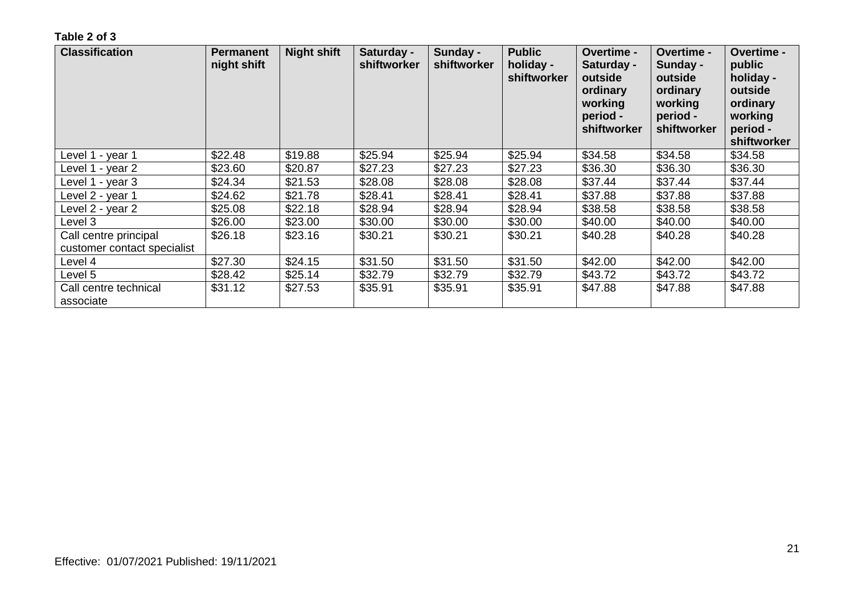| <b>Classification</b>                                | <b>Permanent</b><br>night shift | <b>Night shift</b> | Saturday -<br>shiftworker | Sunday -<br>shiftworker | <b>Public</b><br>holiday -<br>shiftworker | Overtime -<br>Saturday -<br>outside<br>ordinary<br>working<br>period -<br>shiftworker | <b>Overtime -</b><br>Sunday -<br>outside<br>ordinary<br>working<br>period -<br>shiftworker | Overtime -<br>public<br>holiday -<br>outside<br>ordinary<br>working<br>period -<br>shiftworker |
|------------------------------------------------------|---------------------------------|--------------------|---------------------------|-------------------------|-------------------------------------------|---------------------------------------------------------------------------------------|--------------------------------------------------------------------------------------------|------------------------------------------------------------------------------------------------|
| Level 1 - year 1                                     | \$22.48                         | \$19.88            | \$25.94                   | \$25.94                 | \$25.94                                   | \$34.58                                                                               | \$34.58                                                                                    | \$34.58                                                                                        |
| Level 1 - year 2                                     | \$23.60                         | \$20.87            | \$27.23                   | \$27.23                 | \$27.23                                   | \$36.30                                                                               | \$36.30                                                                                    | \$36.30                                                                                        |
| Level 1 - year 3                                     | \$24.34                         | \$21.53            | \$28.08                   | \$28.08                 | \$28.08                                   | \$37.44                                                                               | \$37.44                                                                                    | \$37.44                                                                                        |
| Level 2 - year 1                                     | \$24.62                         | \$21.78            | \$28.41                   | \$28.41                 | \$28.41                                   | \$37.88                                                                               | \$37.88                                                                                    | \$37.88                                                                                        |
| Level 2 - year 2                                     | \$25.08                         | \$22.18            | \$28.94                   | \$28.94                 | \$28.94                                   | \$38.58                                                                               | \$38.58                                                                                    | \$38.58                                                                                        |
| Level 3                                              | \$26.00                         | \$23.00            | \$30.00                   | \$30.00                 | \$30.00                                   | \$40.00                                                                               | \$40.00                                                                                    | \$40.00                                                                                        |
| Call centre principal<br>customer contact specialist | \$26.18                         | \$23.16            | \$30.21                   | \$30.21                 | \$30.21                                   | \$40.28                                                                               | \$40.28                                                                                    | \$40.28                                                                                        |
| Level 4                                              | \$27.30                         | \$24.15            | \$31.50                   | \$31.50                 | \$31.50                                   | \$42.00                                                                               | \$42.00                                                                                    | \$42.00                                                                                        |
| Level 5                                              | \$28.42                         | \$25.14            | \$32.79                   | \$32.79                 | \$32.79                                   | \$43.72                                                                               | \$43.72                                                                                    | \$43.72                                                                                        |
| Call centre technical<br>associate                   | \$31.12                         | \$27.53            | \$35.91                   | \$35.91                 | \$35.91                                   | \$47.88                                                                               | \$47.88                                                                                    | \$47.88                                                                                        |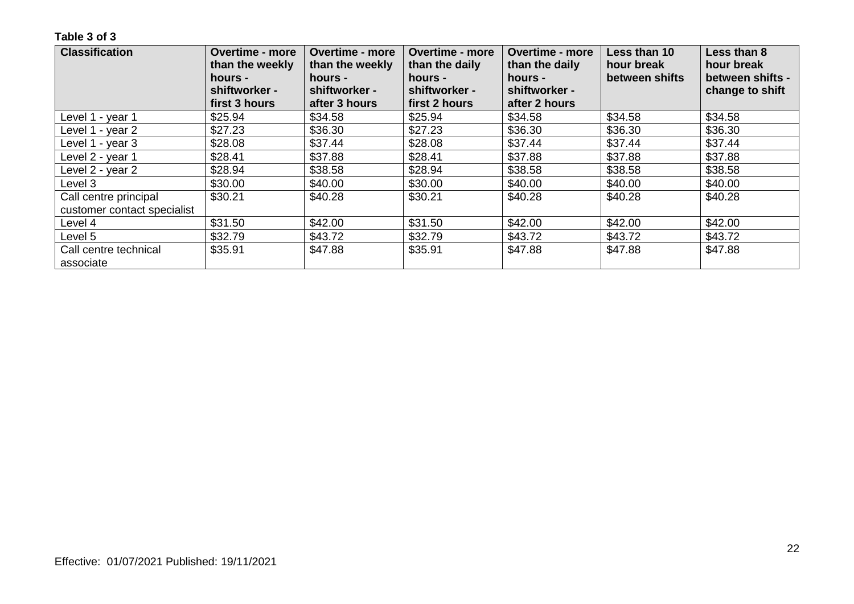| <b>Classification</b>       | <b>Overtime - more</b><br><b>Overtime - more</b><br>than the weekly<br>than the weekly<br>hours -<br>hours -<br>shiftworker -<br>shiftworker - | <b>Overtime - more</b><br>than the daily<br>hours -<br>shiftworker - | <b>Overtime - more</b><br>than the daily<br>hours -<br>shiftworker - | Less than 10<br>hour break<br>between shifts | Less than 8<br>hour break<br>between shifts -<br>change to shift |
|-----------------------------|------------------------------------------------------------------------------------------------------------------------------------------------|----------------------------------------------------------------------|----------------------------------------------------------------------|----------------------------------------------|------------------------------------------------------------------|
|                             | first 3 hours<br>after 3 hours                                                                                                                 | first 2 hours                                                        | after 2 hours                                                        |                                              |                                                                  |
| Level 1 - year 1            | \$25.94<br>\$34.58                                                                                                                             | \$25.94                                                              | \$34.58                                                              | \$34.58                                      | \$34.58                                                          |
| Level 1 - year 2            | \$36.30<br>\$27.23                                                                                                                             | \$27.23                                                              | \$36.30                                                              | \$36.30                                      | \$36.30                                                          |
| Level 1 - year 3            | \$37.44<br>\$28.08                                                                                                                             | \$28.08                                                              | \$37.44                                                              | \$37.44                                      | \$37.44                                                          |
| Level 2 - year 1            | \$37.88<br>\$28.41                                                                                                                             | \$28.41                                                              | \$37.88                                                              | \$37.88                                      | \$37.88                                                          |
| Level 2 - year 2            | \$28.94<br>\$38.58                                                                                                                             | \$28.94                                                              | \$38.58                                                              | \$38.58                                      | \$38.58                                                          |
| Level 3                     | \$30.00<br>\$40.00                                                                                                                             | \$30.00                                                              | \$40.00                                                              | \$40.00                                      | \$40.00                                                          |
| Call centre principal       | \$30.21<br>\$40.28                                                                                                                             | \$30.21                                                              | \$40.28                                                              | \$40.28                                      | \$40.28                                                          |
| customer contact specialist |                                                                                                                                                |                                                                      |                                                                      |                                              |                                                                  |
| Level 4                     | \$31.50<br>\$42.00                                                                                                                             | \$31.50                                                              | \$42.00                                                              | \$42.00                                      | \$42.00                                                          |
| Level 5                     | \$32.79<br>\$43.72                                                                                                                             | \$32.79                                                              | \$43.72                                                              | \$43.72                                      | \$43.72                                                          |
| Call centre technical       | \$35.91<br>\$47.88                                                                                                                             | \$35.91                                                              | \$47.88                                                              | \$47.88                                      | \$47.88                                                          |
| associate                   |                                                                                                                                                |                                                                      |                                                                      |                                              |                                                                  |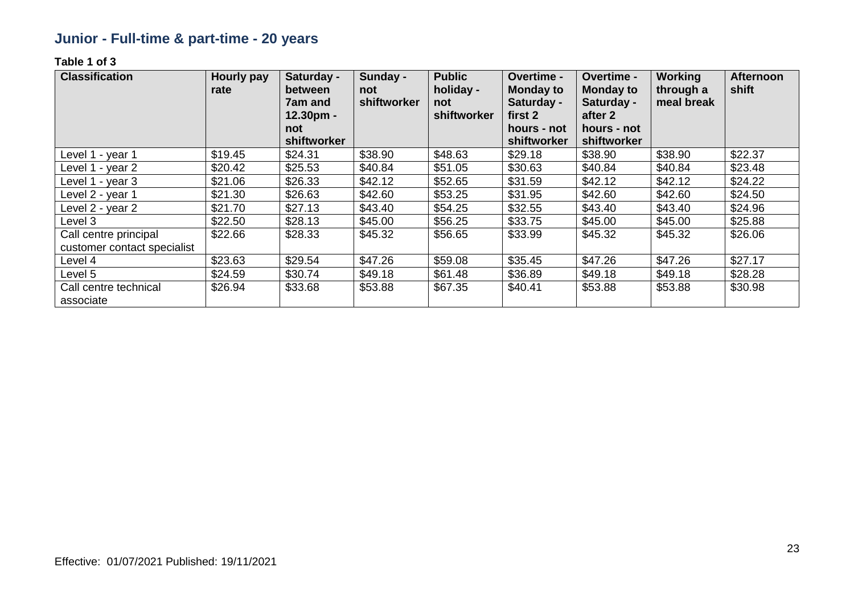## **Junior - Full-time & part-time - 20 years**

| <b>Classification</b>                                | Hourly pay<br>rate | Saturday -<br>between<br>7am and<br>12.30pm -<br>not<br>shiftworker | Sunday -<br>not<br>shiftworker | <b>Public</b><br>holiday -<br>not<br>shiftworker | <b>Overtime -</b><br><b>Monday to</b><br>Saturday -<br>first 2<br>hours - not<br>shiftworker | Overtime -<br><b>Monday to</b><br>Saturday -<br>after 2<br>hours - not<br>shiftworker | <b>Working</b><br>through a<br>meal break | <b>Afternoon</b><br>shift |
|------------------------------------------------------|--------------------|---------------------------------------------------------------------|--------------------------------|--------------------------------------------------|----------------------------------------------------------------------------------------------|---------------------------------------------------------------------------------------|-------------------------------------------|---------------------------|
| Level 1 - year 1                                     | \$19.45            | \$24.31                                                             | \$38.90                        | \$48.63                                          | \$29.18                                                                                      | \$38.90                                                                               | \$38.90                                   | \$22.37                   |
| Level 1 - year 2                                     | \$20.42            | \$25.53                                                             | \$40.84                        | \$51.05                                          | \$30.63                                                                                      | \$40.84                                                                               | \$40.84                                   | \$23.48                   |
| Level 1 - year 3                                     | \$21.06            | \$26.33                                                             | \$42.12                        | \$52.65                                          | \$31.59                                                                                      | \$42.12                                                                               | \$42.12                                   | \$24.22                   |
| Level 2 - year 1                                     | \$21.30            | \$26.63                                                             | \$42.60                        | \$53.25                                          | \$31.95                                                                                      | \$42.60                                                                               | \$42.60                                   | \$24.50                   |
| Level 2 - year 2                                     | \$21.70            | \$27.13                                                             | \$43.40                        | \$54.25                                          | \$32.55                                                                                      | \$43.40                                                                               | \$43.40                                   | \$24.96                   |
| Level 3                                              | \$22.50            | \$28.13                                                             | \$45.00                        | \$56.25                                          | \$33.75                                                                                      | \$45.00                                                                               | \$45.00                                   | \$25.88                   |
| Call centre principal<br>customer contact specialist | \$22.66            | \$28.33                                                             | \$45.32                        | \$56.65                                          | \$33.99                                                                                      | \$45.32                                                                               | \$45.32                                   | \$26.06                   |
| Level 4                                              | \$23.63            | \$29.54                                                             | \$47.26                        | \$59.08                                          | \$35.45                                                                                      | \$47.26                                                                               | \$47.26                                   | \$27.17                   |
| Level 5                                              | \$24.59            | \$30.74                                                             | \$49.18                        | \$61.48                                          | \$36.89                                                                                      | \$49.18                                                                               | \$49.18                                   | \$28.28                   |
| Call centre technical<br>associate                   | \$26.94            | \$33.68                                                             | \$53.88                        | \$67.35                                          | \$40.41                                                                                      | \$53.88                                                                               | \$53.88                                   | \$30.98                   |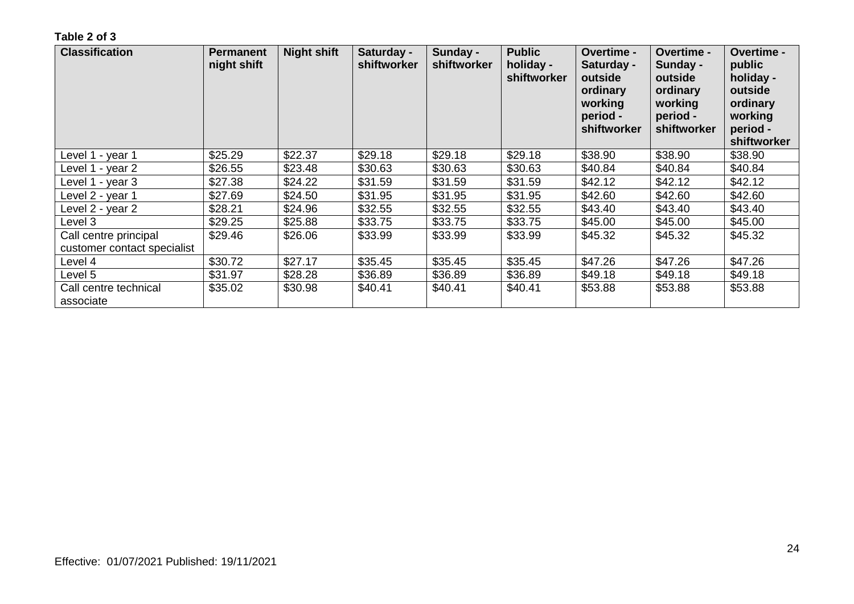| <b>Classification</b>                                | <b>Permanent</b><br>night shift | <b>Night shift</b> | Saturday -<br>shiftworker | Sunday -<br>shiftworker | <b>Public</b><br>holiday -<br>shiftworker | <b>Overtime -</b><br>Saturday -<br>outside<br>ordinary<br>working<br>period -<br>shiftworker | <b>Overtime -</b><br>Sunday -<br>outside<br>ordinary<br>working<br>period -<br>shiftworker | <b>Overtime -</b><br>public<br>holiday -<br>outside<br>ordinary<br>working<br>period -<br>shiftworker |
|------------------------------------------------------|---------------------------------|--------------------|---------------------------|-------------------------|-------------------------------------------|----------------------------------------------------------------------------------------------|--------------------------------------------------------------------------------------------|-------------------------------------------------------------------------------------------------------|
| Level 1 - year 1                                     | \$25.29                         | \$22.37            | \$29.18                   | \$29.18                 | \$29.18                                   | \$38.90                                                                                      | \$38.90                                                                                    | \$38.90                                                                                               |
| Level 1 - year 2                                     | \$26.55                         | \$23.48            | \$30.63                   | \$30.63                 | \$30.63                                   | \$40.84                                                                                      | \$40.84                                                                                    | \$40.84                                                                                               |
| Level 1 - year 3                                     | \$27.38                         | \$24.22            | \$31.59                   | \$31.59                 | \$31.59                                   | \$42.12                                                                                      | \$42.12                                                                                    | \$42.12                                                                                               |
| Level 2 - year 1                                     | \$27.69                         | \$24.50            | \$31.95                   | \$31.95                 | \$31.95                                   | \$42.60                                                                                      | \$42.60                                                                                    | \$42.60                                                                                               |
| Level 2 - year 2                                     | \$28.21                         | \$24.96            | \$32.55                   | \$32.55                 | \$32.55                                   | \$43.40                                                                                      | \$43.40                                                                                    | \$43.40                                                                                               |
| Level 3                                              | \$29.25                         | \$25.88            | \$33.75                   | \$33.75                 | \$33.75                                   | \$45.00                                                                                      | \$45.00                                                                                    | \$45.00                                                                                               |
| Call centre principal<br>customer contact specialist | \$29.46                         | \$26.06            | \$33.99                   | \$33.99                 | \$33.99                                   | \$45.32                                                                                      | \$45.32                                                                                    | \$45.32                                                                                               |
| Level 4                                              | \$30.72                         | \$27.17            | \$35.45                   | \$35.45                 | \$35.45                                   | \$47.26                                                                                      | \$47.26                                                                                    | \$47.26                                                                                               |
| Level 5                                              | \$31.97                         | \$28.28            | \$36.89                   | \$36.89                 | \$36.89                                   | \$49.18                                                                                      | \$49.18                                                                                    | \$49.18                                                                                               |
| Call centre technical<br>associate                   | \$35.02                         | \$30.98            | \$40.41                   | \$40.41                 | \$40.41                                   | \$53.88                                                                                      | \$53.88                                                                                    | \$53.88                                                                                               |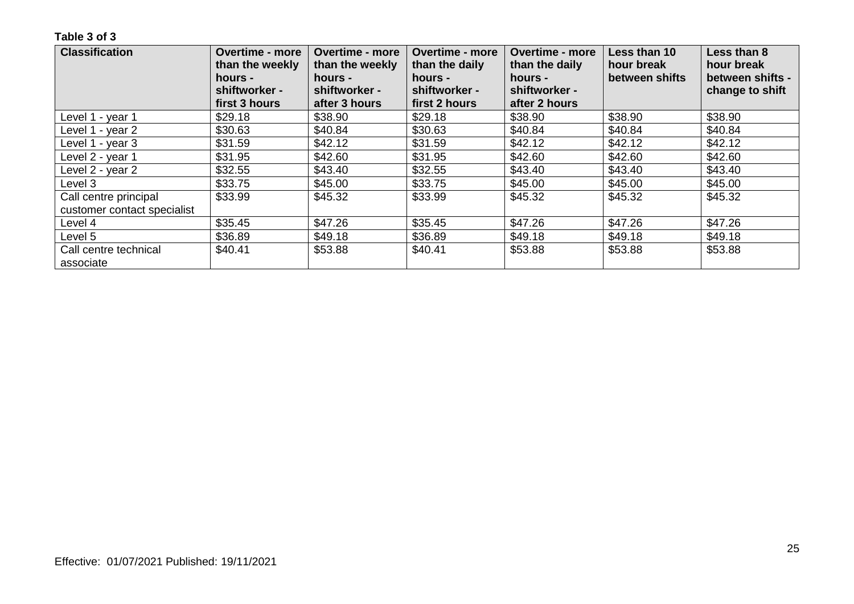| <b>Classification</b>       | <b>Overtime - more</b><br>than the weekly<br>hours -<br>shiftworker - | <b>Overtime - more</b><br>than the weekly<br>hours -<br>shiftworker - | <b>Overtime - more</b><br>than the daily<br>hours -<br>shiftworker - | <b>Overtime - more</b><br>than the daily<br>hours -<br>shiftworker - | Less than 10<br>hour break<br>between shifts | Less than 8<br>hour break<br>between shifts -<br>change to shift |
|-----------------------------|-----------------------------------------------------------------------|-----------------------------------------------------------------------|----------------------------------------------------------------------|----------------------------------------------------------------------|----------------------------------------------|------------------------------------------------------------------|
|                             | first 3 hours                                                         | after 3 hours                                                         | first 2 hours                                                        | after 2 hours                                                        |                                              |                                                                  |
| Level 1 - year 1            | \$29.18                                                               | \$38.90                                                               | \$29.18                                                              | \$38.90                                                              | \$38.90                                      | \$38.90                                                          |
| Level 1 - year 2            | \$30.63                                                               | \$40.84                                                               | \$30.63                                                              | \$40.84                                                              | \$40.84                                      | \$40.84                                                          |
| Level 1 - year 3            | \$31.59                                                               | \$42.12                                                               | \$31.59                                                              | \$42.12                                                              | \$42.12                                      | \$42.12                                                          |
| Level 2 - year 1            | \$31.95                                                               | \$42.60                                                               | \$31.95                                                              | \$42.60                                                              | \$42.60                                      | \$42.60                                                          |
| Level 2 - year 2            | \$32.55                                                               | \$43.40                                                               | \$32.55                                                              | \$43.40                                                              | \$43.40                                      | \$43.40                                                          |
| Level 3                     | \$33.75                                                               | \$45.00                                                               | \$33.75                                                              | \$45.00                                                              | \$45.00                                      | \$45.00                                                          |
| Call centre principal       | \$33.99                                                               | \$45.32                                                               | \$33.99                                                              | \$45.32                                                              | \$45.32                                      | \$45.32                                                          |
| customer contact specialist |                                                                       |                                                                       |                                                                      |                                                                      |                                              |                                                                  |
| Level 4                     | \$35.45                                                               | \$47.26                                                               | \$35.45                                                              | \$47.26                                                              | \$47.26                                      | \$47.26                                                          |
| Level 5                     | \$36.89                                                               | \$49.18                                                               | \$36.89                                                              | \$49.18                                                              | \$49.18                                      | \$49.18                                                          |
| Call centre technical       | \$40.41                                                               | \$53.88                                                               | \$40.41                                                              | \$53.88                                                              | \$53.88                                      | \$53.88                                                          |
| associate                   |                                                                       |                                                                       |                                                                      |                                                                      |                                              |                                                                  |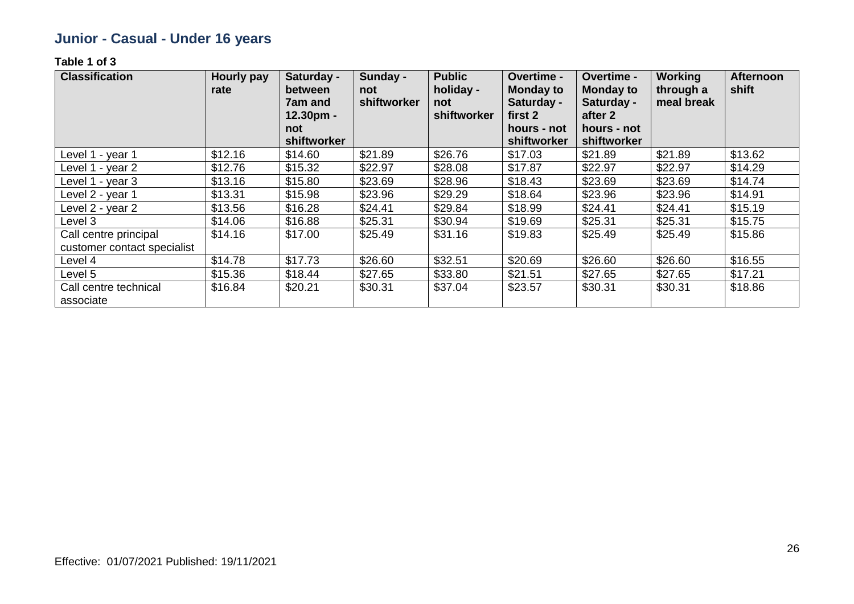### **Junior - Casual - Under 16 years**

| <b>Classification</b>                                | <b>Hourly pay</b><br>rate | Saturday -<br>between<br>7am and<br>$12.30pm -$<br>not<br>shiftworker | Sunday -<br>not<br>shiftworker | <b>Public</b><br>holiday -<br>not<br>shiftworker | Overtime -<br><b>Monday to</b><br>Saturday -<br>first 2<br>hours - not<br>shiftworker | <b>Overtime -</b><br><b>Monday to</b><br>Saturday -<br>after 2<br>hours - not<br>shiftworker | <b>Working</b><br>through a<br>meal break | <b>Afternoon</b><br>shift |
|------------------------------------------------------|---------------------------|-----------------------------------------------------------------------|--------------------------------|--------------------------------------------------|---------------------------------------------------------------------------------------|----------------------------------------------------------------------------------------------|-------------------------------------------|---------------------------|
| Level 1 - year 1                                     | \$12.16                   | \$14.60                                                               | \$21.89                        | \$26.76                                          | \$17.03                                                                               | \$21.89                                                                                      | \$21.89                                   | \$13.62                   |
| Level 1 - year 2                                     | \$12.76                   | \$15.32                                                               | \$22.97                        | \$28.08                                          | \$17.87                                                                               | \$22.97                                                                                      | \$22.97                                   | \$14.29                   |
| Level 1 - year 3                                     | \$13.16                   | \$15.80                                                               | \$23.69                        | \$28.96                                          | \$18.43                                                                               | \$23.69                                                                                      | \$23.69                                   | \$14.74                   |
| Level 2 - year 1                                     | \$13.31                   | \$15.98                                                               | \$23.96                        | \$29.29                                          | \$18.64                                                                               | \$23.96                                                                                      | \$23.96                                   | \$14.91                   |
| Level 2 - year 2                                     | \$13.56                   | \$16.28                                                               | \$24.41                        | \$29.84                                          | \$18.99                                                                               | \$24.41                                                                                      | \$24.41                                   | \$15.19                   |
| Level 3                                              | \$14.06                   | \$16.88                                                               | \$25.31                        | \$30.94                                          | \$19.69                                                                               | \$25.31                                                                                      | \$25.31                                   | \$15.75                   |
| Call centre principal<br>customer contact specialist | \$14.16                   | \$17.00                                                               | \$25.49                        | \$31.16                                          | \$19.83                                                                               | \$25.49                                                                                      | \$25.49                                   | \$15.86                   |
| Level 4                                              | \$14.78                   | \$17.73                                                               | \$26.60                        | \$32.51                                          | \$20.69                                                                               | \$26.60                                                                                      | \$26.60                                   | \$16.55                   |
| Level 5                                              | \$15.36                   | \$18.44                                                               | \$27.65                        | \$33.80                                          | \$21.51                                                                               | \$27.65                                                                                      | \$27.65                                   | \$17.21                   |
| Call centre technical<br>associate                   | \$16.84                   | \$20.21                                                               | \$30.31                        | \$37.04                                          | \$23.57                                                                               | \$30.31                                                                                      | \$30.31                                   | \$18.86                   |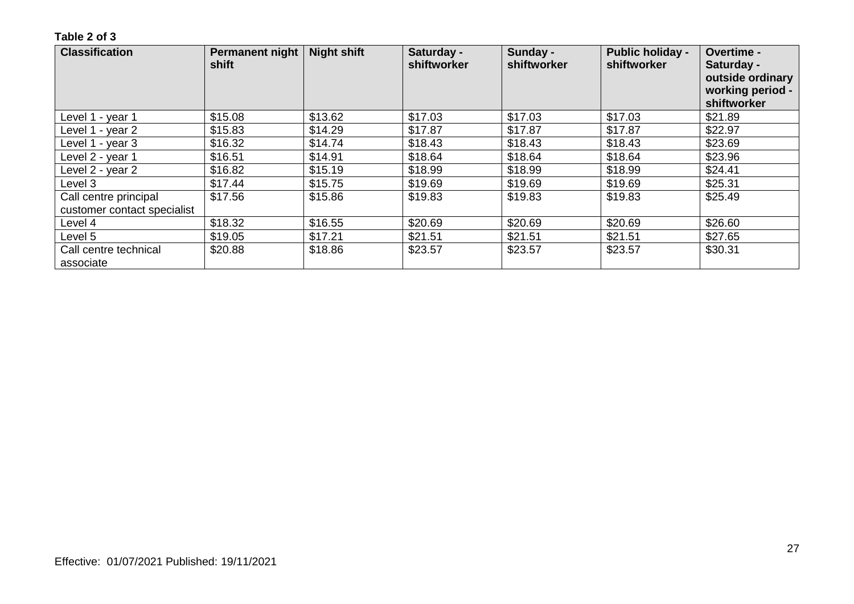| <b>Classification</b>              | <b>Permanent night</b><br>shift | <b>Night shift</b> | Saturday -<br>shiftworker | Sunday -<br>shiftworker | <b>Public holiday -</b><br>shiftworker | Overtime -<br>Saturday -<br>outside ordinary<br>working period -<br>shiftworker |
|------------------------------------|---------------------------------|--------------------|---------------------------|-------------------------|----------------------------------------|---------------------------------------------------------------------------------|
| Level 1 - year 1                   | \$15.08                         | \$13.62            | \$17.03                   | \$17.03                 | \$17.03                                | \$21.89                                                                         |
| Level 1 - year 2                   | \$15.83                         | \$14.29            | \$17.87                   | \$17.87                 | \$17.87                                | \$22.97                                                                         |
| Level 1 - year 3                   | \$16.32                         | \$14.74            | \$18.43                   | \$18.43                 | \$18.43                                | \$23.69                                                                         |
| Level 2 - year 1                   | \$16.51                         | \$14.91            | \$18.64                   | \$18.64                 | \$18.64                                | \$23.96                                                                         |
| Level 2 - year 2                   | \$16.82                         | \$15.19            | \$18.99                   | \$18.99                 | \$18.99                                | \$24.41                                                                         |
| Level 3                            | \$17.44                         | \$15.75            | \$19.69                   | \$19.69                 | \$19.69                                | \$25.31                                                                         |
| Call centre principal              | \$17.56                         | \$15.86            | \$19.83                   | \$19.83                 | \$19.83                                | \$25.49                                                                         |
| customer contact specialist        |                                 |                    |                           |                         |                                        |                                                                                 |
| Level 4                            | \$18.32                         | \$16.55            | \$20.69                   | \$20.69                 | \$20.69                                | \$26.60                                                                         |
| Level 5                            | \$19.05                         | \$17.21            | \$21.51                   | \$21.51                 | \$21.51                                | \$27.65                                                                         |
| Call centre technical<br>associate | \$20.88                         | \$18.86            | \$23.57                   | \$23.57                 | \$23.57                                | \$30.31                                                                         |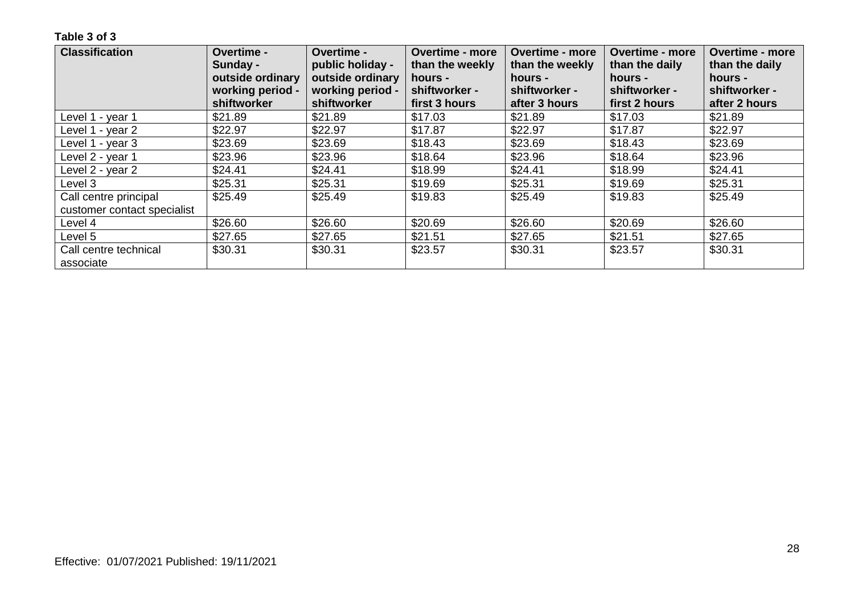| <b>Classification</b>       | Overtime -<br>Sunday -<br>outside ordinary<br>working period - | Overtime -<br>public holiday -<br>outside ordinary<br>working period - | <b>Overtime - more</b><br>than the weekly<br>hours -<br>shiftworker - | <b>Overtime - more</b><br>than the weekly<br>hours -<br>shiftworker - | <b>Overtime - more</b><br>than the daily<br>hours -<br>shiftworker - | <b>Overtime - more</b><br>than the daily<br>hours -<br>shiftworker - |
|-----------------------------|----------------------------------------------------------------|------------------------------------------------------------------------|-----------------------------------------------------------------------|-----------------------------------------------------------------------|----------------------------------------------------------------------|----------------------------------------------------------------------|
|                             | shiftworker                                                    | shiftworker                                                            | first 3 hours                                                         | after 3 hours                                                         | first 2 hours                                                        | after 2 hours                                                        |
| Level 1 - year 1            | \$21.89                                                        | \$21.89                                                                | \$17.03                                                               | \$21.89                                                               | \$17.03                                                              | \$21.89                                                              |
| Level 1 - year 2            | \$22.97                                                        | \$22.97                                                                | \$17.87                                                               | \$22.97                                                               | \$17.87                                                              | \$22.97                                                              |
| Level 1 - year 3            | \$23.69                                                        | \$23.69                                                                | \$18.43                                                               | \$23.69                                                               | \$18.43                                                              | \$23.69                                                              |
| Level 2 - year 1            | \$23.96                                                        | \$23.96                                                                | \$18.64                                                               | \$23.96                                                               | \$18.64                                                              | \$23.96                                                              |
| Level 2 - year 2            | \$24.41                                                        | \$24.41                                                                | \$18.99                                                               | \$24.41                                                               | \$18.99                                                              | \$24.41                                                              |
| Level 3                     | \$25.31                                                        | \$25.31                                                                | \$19.69                                                               | \$25.31                                                               | \$19.69                                                              | \$25.31                                                              |
| Call centre principal       | \$25.49                                                        | \$25.49                                                                | \$19.83                                                               | \$25.49                                                               | \$19.83                                                              | \$25.49                                                              |
| customer contact specialist |                                                                |                                                                        |                                                                       |                                                                       |                                                                      |                                                                      |
| Level 4                     | \$26.60                                                        | \$26.60                                                                | \$20.69                                                               | \$26.60                                                               | \$20.69                                                              | \$26.60                                                              |
| Level 5                     | \$27.65                                                        | \$27.65                                                                | \$21.51                                                               | \$27.65                                                               | \$21.51                                                              | \$27.65                                                              |
| Call centre technical       | \$30.31                                                        | \$30.31                                                                | \$23.57                                                               | \$30.31                                                               | \$23.57                                                              | \$30.31                                                              |
| associate                   |                                                                |                                                                        |                                                                       |                                                                       |                                                                      |                                                                      |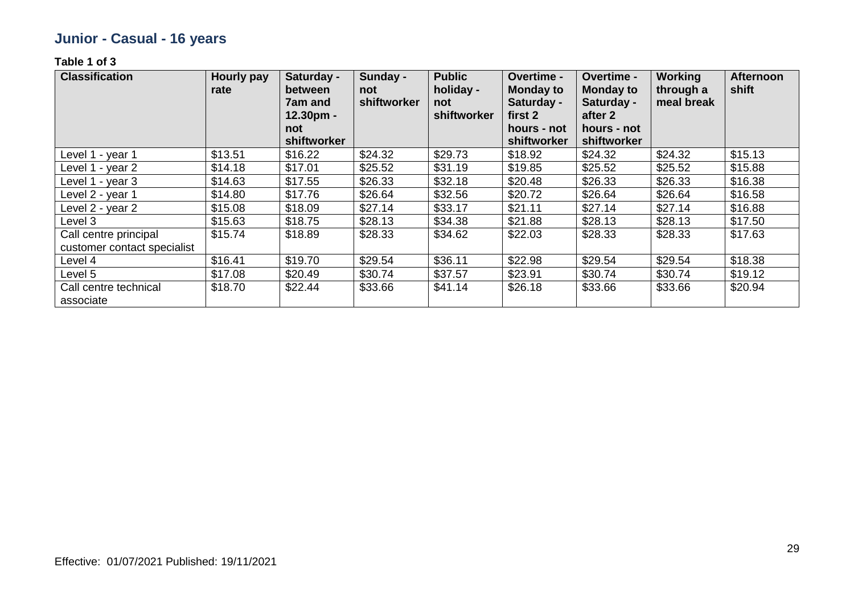## **Junior - Casual - 16 years**

| <b>Classification</b>                                | Hourly pay<br>rate | Saturday -<br>between<br>7am and<br>$12.30pm -$<br>not<br>shiftworker | Sunday -<br>not<br>shiftworker | <b>Public</b><br>holiday -<br>not<br>shiftworker | <b>Overtime -</b><br><b>Monday to</b><br>Saturday -<br>first 2<br>hours - not<br>shiftworker | Overtime -<br><b>Monday to</b><br>Saturday -<br>after 2<br>hours - not<br>shiftworker | Working<br>through a<br>meal break | <b>Afternoon</b><br>shift |
|------------------------------------------------------|--------------------|-----------------------------------------------------------------------|--------------------------------|--------------------------------------------------|----------------------------------------------------------------------------------------------|---------------------------------------------------------------------------------------|------------------------------------|---------------------------|
| Level 1 - year 1                                     | \$13.51            | \$16.22                                                               | \$24.32                        | \$29.73                                          | \$18.92                                                                                      | \$24.32                                                                               | \$24.32                            | \$15.13                   |
| Level 1 - year 2                                     | \$14.18            | \$17.01                                                               | \$25.52                        | \$31.19                                          | \$19.85                                                                                      | \$25.52                                                                               | \$25.52                            | \$15.88                   |
| Level 1 - year 3                                     | \$14.63            | \$17.55                                                               | \$26.33                        | \$32.18                                          | \$20.48                                                                                      | \$26.33                                                                               | \$26.33                            | \$16.38                   |
| Level 2 - year 1                                     | \$14.80            | \$17.76                                                               | \$26.64                        | \$32.56                                          | \$20.72                                                                                      | \$26.64                                                                               | \$26.64                            | \$16.58                   |
| Level 2 - year 2                                     | \$15.08            | \$18.09                                                               | \$27.14                        | \$33.17                                          | \$21.11                                                                                      | \$27.14                                                                               | \$27.14                            | \$16.88                   |
| Level 3                                              | \$15.63            | \$18.75                                                               | \$28.13                        | \$34.38                                          | \$21.88                                                                                      | \$28.13                                                                               | \$28.13                            | \$17.50                   |
| Call centre principal<br>customer contact specialist | \$15.74            | \$18.89                                                               | \$28.33                        | \$34.62                                          | \$22.03                                                                                      | \$28.33                                                                               | \$28.33                            | \$17.63                   |
| Level 4                                              | \$16.41            | \$19.70                                                               | \$29.54                        | \$36.11                                          | \$22.98                                                                                      | \$29.54                                                                               | \$29.54                            | \$18.38                   |
| Level 5                                              | \$17.08            | \$20.49                                                               | \$30.74                        | \$37.57                                          | \$23.91                                                                                      | \$30.74                                                                               | \$30.74                            | \$19.12                   |
| Call centre technical<br>associate                   | \$18.70            | \$22.44                                                               | \$33.66                        | \$41.14                                          | \$26.18                                                                                      | \$33.66                                                                               | \$33.66                            | \$20.94                   |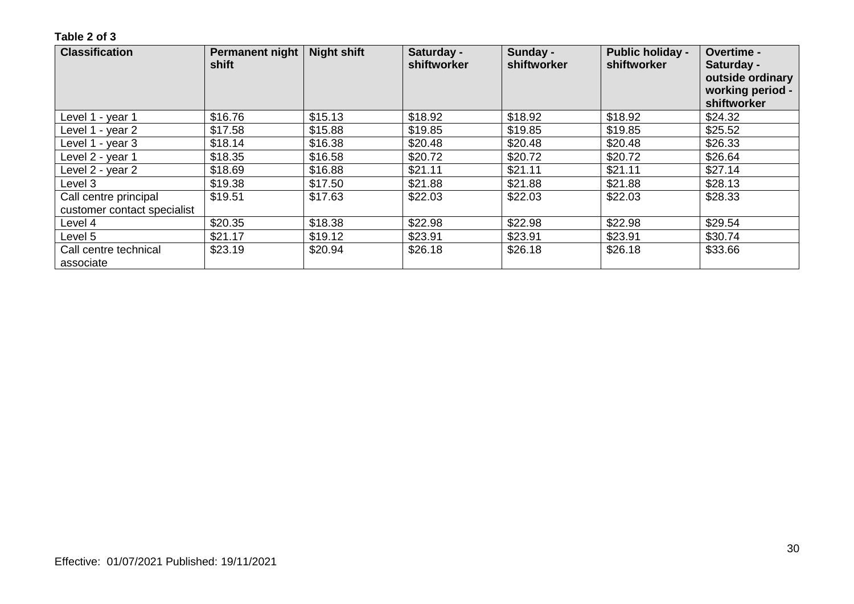| <b>Classification</b>              | Permanent night<br>shift | <b>Night shift</b> | Saturday -<br>shiftworker | Sunday -<br>shiftworker | <b>Public holiday -</b><br>shiftworker | Overtime -<br>Saturday -<br>outside ordinary<br>working period -<br>shiftworker |
|------------------------------------|--------------------------|--------------------|---------------------------|-------------------------|----------------------------------------|---------------------------------------------------------------------------------|
| Level 1 - year 1                   | \$16.76                  | \$15.13            | \$18.92                   | \$18.92                 | \$18.92                                | \$24.32                                                                         |
| Level 1 - year 2                   | \$17.58                  | \$15.88            | \$19.85                   | \$19.85                 | \$19.85                                | \$25.52                                                                         |
| Level 1 - year 3                   | \$18.14                  | \$16.38            | \$20.48                   | \$20.48                 | \$20.48                                | \$26.33                                                                         |
| Level 2 - year 1                   | \$18.35                  | \$16.58            | \$20.72                   | \$20.72                 | \$20.72                                | \$26.64                                                                         |
| Level 2 - year 2                   | \$18.69                  | \$16.88            | \$21.11                   | \$21.11                 | \$21.11                                | \$27.14                                                                         |
| Level 3                            | \$19.38                  | \$17.50            | \$21.88                   | \$21.88                 | \$21.88                                | \$28.13                                                                         |
| Call centre principal              | \$19.51                  | \$17.63            | \$22.03                   | \$22.03                 | \$22.03                                | \$28.33                                                                         |
| customer contact specialist        |                          |                    |                           |                         |                                        |                                                                                 |
| Level 4                            | \$20.35                  | \$18.38            | \$22.98                   | \$22.98                 | \$22.98                                | \$29.54                                                                         |
| Level 5                            | \$21.17                  | \$19.12            | \$23.91                   | \$23.91                 | \$23.91                                | \$30.74                                                                         |
| Call centre technical<br>associate | \$23.19                  | \$20.94            | \$26.18                   | \$26.18                 | \$26.18                                | \$33.66                                                                         |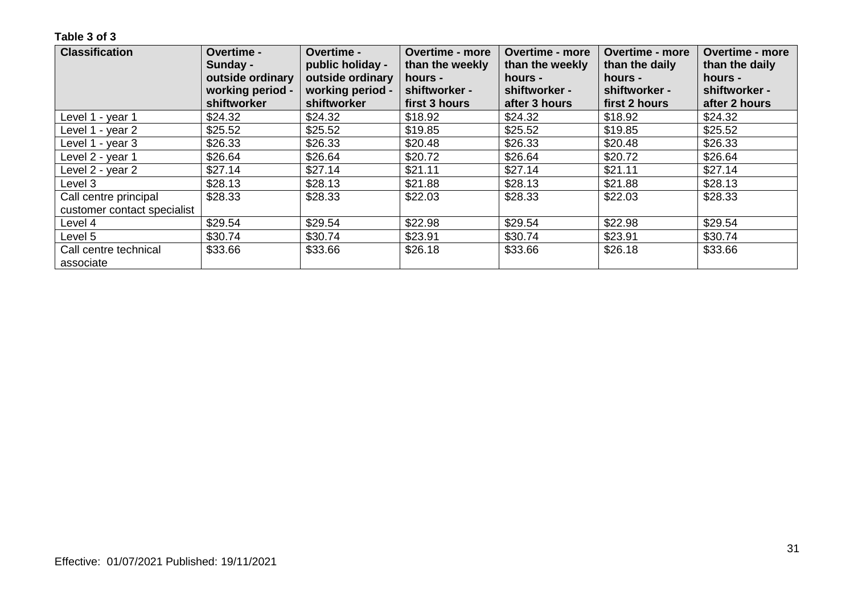| <b>Classification</b>              | Overtime -<br>Sunday -<br>outside ordinary | <b>Overtime -</b><br>public holiday -<br>outside ordinary | <b>Overtime - more</b><br>than the weekly<br>hours - | <b>Overtime - more</b><br>than the weekly<br>hours - | <b>Overtime - more</b><br>than the daily<br>hours - | <b>Overtime - more</b><br>than the daily<br>hours - |
|------------------------------------|--------------------------------------------|-----------------------------------------------------------|------------------------------------------------------|------------------------------------------------------|-----------------------------------------------------|-----------------------------------------------------|
|                                    | working period -<br>shiftworker            | working period -<br>shiftworker                           | shiftworker -<br>first 3 hours                       | shiftworker -<br>after 3 hours                       | shiftworker -<br>first 2 hours                      | shiftworker -<br>after 2 hours                      |
| Level 1 - year 1                   | \$24.32                                    | \$24.32                                                   | \$18.92                                              | \$24.32                                              | \$18.92                                             | \$24.32                                             |
| Level 1 - year 2                   | \$25.52                                    | \$25.52                                                   | \$19.85                                              | \$25.52                                              | \$19.85                                             | \$25.52                                             |
| Level 1 - year 3                   | \$26.33                                    | \$26.33                                                   | \$20.48                                              | \$26.33                                              | \$20.48                                             | \$26.33                                             |
| Level 2 - year 1                   | \$26.64                                    | \$26.64                                                   | \$20.72                                              | \$26.64                                              | \$20.72                                             | \$26.64                                             |
| Level 2 - year 2                   | \$27.14                                    | \$27.14                                                   | \$21.11                                              | \$27.14                                              | \$21.11                                             | \$27.14                                             |
| Level 3                            | \$28.13                                    | \$28.13                                                   | \$21.88                                              | \$28.13                                              | \$21.88                                             | \$28.13                                             |
| Call centre principal              | \$28.33                                    | \$28.33                                                   | \$22.03                                              | \$28.33                                              | \$22.03                                             | \$28.33                                             |
| customer contact specialist        |                                            |                                                           |                                                      |                                                      |                                                     |                                                     |
| Level 4                            | \$29.54                                    | \$29.54                                                   | \$22.98                                              | \$29.54                                              | \$22.98                                             | \$29.54                                             |
| Level 5                            | \$30.74                                    | \$30.74                                                   | \$23.91                                              | \$30.74                                              | \$23.91                                             | \$30.74                                             |
| Call centre technical<br>associate | \$33.66                                    | \$33.66                                                   | \$26.18                                              | \$33.66                                              | \$26.18                                             | \$33.66                                             |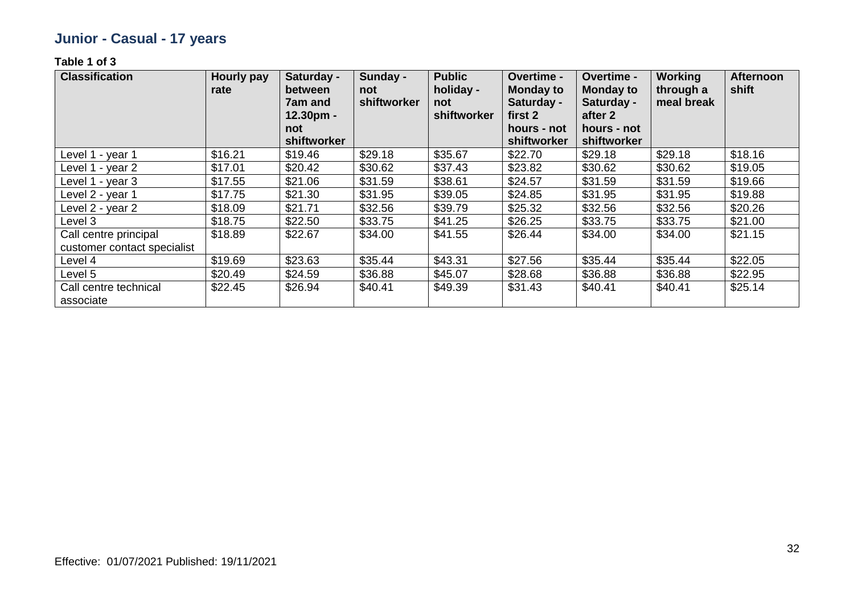## **Junior - Casual - 17 years**

| <b>Classification</b>                                | Hourly pay<br>rate | Saturday -<br>between<br>7am and<br>$12.30pm -$<br>not<br>shiftworker | Sunday -<br>not<br>shiftworker | <b>Public</b><br>holiday -<br>not<br>shiftworker | <b>Overtime -</b><br><b>Monday to</b><br>Saturday -<br>first 2<br>hours - not<br>shiftworker | Overtime -<br><b>Monday to</b><br>Saturday -<br>after 2<br>hours - not<br>shiftworker | Working<br>through a<br>meal break | <b>Afternoon</b><br>shift |
|------------------------------------------------------|--------------------|-----------------------------------------------------------------------|--------------------------------|--------------------------------------------------|----------------------------------------------------------------------------------------------|---------------------------------------------------------------------------------------|------------------------------------|---------------------------|
| Level 1 - year 1                                     | \$16.21            | \$19.46                                                               | \$29.18                        | \$35.67                                          | \$22.70                                                                                      | \$29.18                                                                               | \$29.18                            | \$18.16                   |
| Level 1 - year 2                                     | \$17.01            | \$20.42                                                               | \$30.62                        | \$37.43                                          | \$23.82                                                                                      | \$30.62                                                                               | \$30.62                            | \$19.05                   |
| Level 1 - year 3                                     | \$17.55            | \$21.06                                                               | \$31.59                        | \$38.61                                          | \$24.57                                                                                      | \$31.59                                                                               | \$31.59                            | \$19.66                   |
| Level 2 - year 1                                     | \$17.75            | \$21.30                                                               | \$31.95                        | \$39.05                                          | \$24.85                                                                                      | \$31.95                                                                               | \$31.95                            | \$19.88                   |
| Level 2 - year 2                                     | \$18.09            | \$21.71                                                               | \$32.56                        | \$39.79                                          | \$25.32                                                                                      | \$32.56                                                                               | \$32.56                            | \$20.26                   |
| Level 3                                              | \$18.75            | \$22.50                                                               | \$33.75                        | \$41.25                                          | \$26.25                                                                                      | \$33.75                                                                               | \$33.75                            | \$21.00                   |
| Call centre principal<br>customer contact specialist | \$18.89            | \$22.67                                                               | \$34.00                        | \$41.55                                          | \$26.44                                                                                      | \$34.00                                                                               | \$34.00                            | \$21.15                   |
| Level 4                                              | \$19.69            | \$23.63                                                               | \$35.44                        | \$43.31                                          | \$27.56                                                                                      | \$35.44                                                                               | \$35.44                            | \$22.05                   |
| Level 5                                              | \$20.49            | \$24.59                                                               | \$36.88                        | \$45.07                                          | \$28.68                                                                                      | \$36.88                                                                               | \$36.88                            | \$22.95                   |
| Call centre technical<br>associate                   | \$22.45            | \$26.94                                                               | \$40.41                        | \$49.39                                          | \$31.43                                                                                      | \$40.41                                                                               | \$40.41                            | \$25.14                   |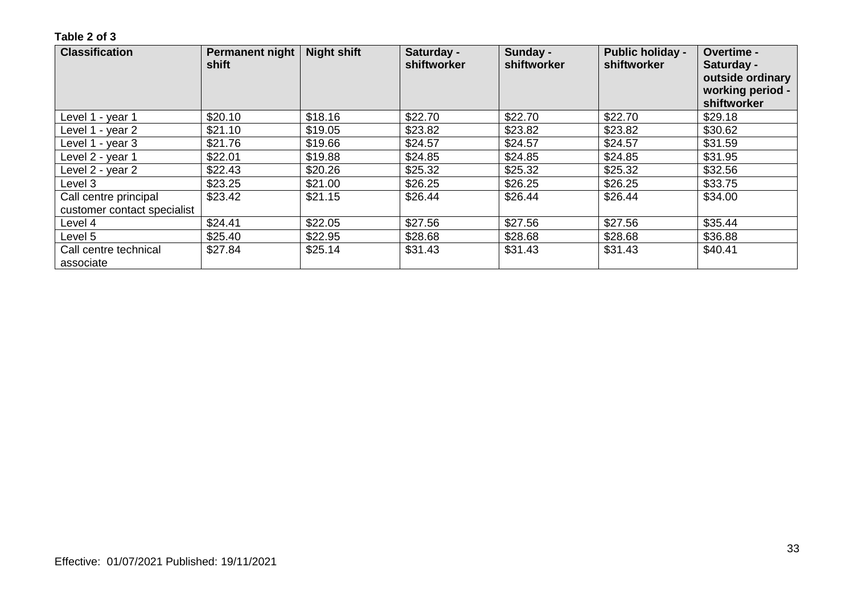| <b>Classification</b>              | <b>Permanent night</b><br>shift | <b>Night shift</b> | Saturday -<br>shiftworker | Sunday -<br>shiftworker | <b>Public holiday -</b><br>shiftworker | Overtime -<br>Saturday -<br>outside ordinary<br>working period -<br>shiftworker |
|------------------------------------|---------------------------------|--------------------|---------------------------|-------------------------|----------------------------------------|---------------------------------------------------------------------------------|
| Level 1 - year 1                   | \$20.10                         | \$18.16            | \$22.70                   | \$22.70                 | \$22.70                                | \$29.18                                                                         |
| Level 1 - year 2                   | \$21.10                         | \$19.05            | \$23.82                   | \$23.82                 | \$23.82                                | \$30.62                                                                         |
| Level 1 - year 3                   | \$21.76                         | \$19.66            | \$24.57                   | \$24.57                 | \$24.57                                | \$31.59                                                                         |
| Level 2 - year 1                   | \$22.01                         | \$19.88            | \$24.85                   | \$24.85                 | \$24.85                                | \$31.95                                                                         |
| Level 2 - year 2                   | \$22.43                         | \$20.26            | \$25.32                   | \$25.32                 | \$25.32                                | \$32.56                                                                         |
| Level 3                            | \$23.25                         | \$21.00            | \$26.25                   | \$26.25                 | \$26.25                                | \$33.75                                                                         |
| Call centre principal              | \$23.42                         | \$21.15            | \$26.44                   | \$26.44                 | \$26.44                                | \$34.00                                                                         |
| customer contact specialist        |                                 |                    |                           |                         |                                        |                                                                                 |
| Level 4                            | \$24.41                         | \$22.05            | \$27.56                   | \$27.56                 | \$27.56                                | \$35.44                                                                         |
| Level 5                            | \$25.40                         | \$22.95            | \$28.68                   | \$28.68                 | \$28.68                                | \$36.88                                                                         |
| Call centre technical<br>associate | \$27.84                         | \$25.14            | \$31.43                   | \$31.43                 | \$31.43                                | \$40.41                                                                         |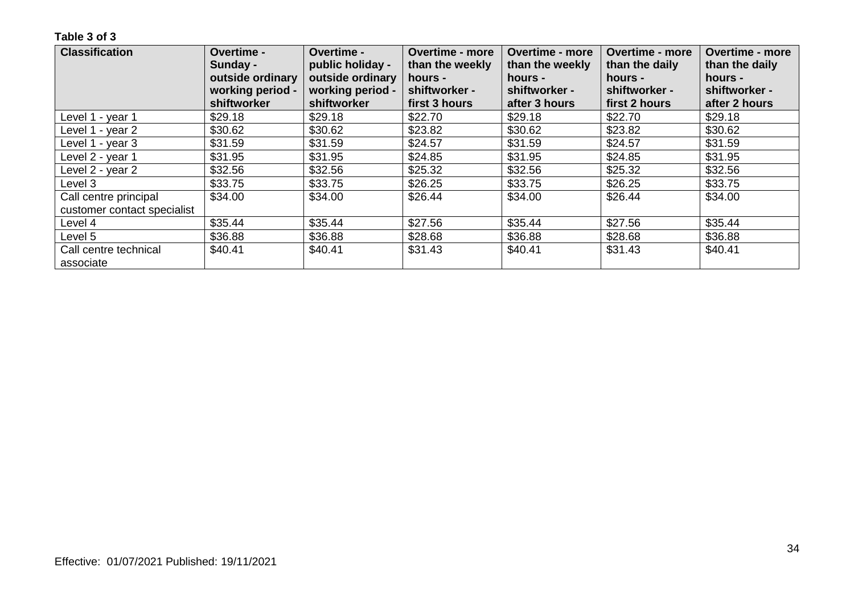| <b>Classification</b>       | Overtime -       | <b>Overtime -</b> | <b>Overtime - more</b> | <b>Overtime - more</b> | <b>Overtime - more</b> | <b>Overtime - more</b> |
|-----------------------------|------------------|-------------------|------------------------|------------------------|------------------------|------------------------|
|                             | Sunday -         | public holiday -  | than the weekly        | than the weekly        | than the daily         | than the daily         |
|                             | outside ordinary | outside ordinary  | hours -                | hours -                | hours -                | hours -                |
|                             | working period - | working period -  | shiftworker -          | shiftworker -          | shiftworker -          | shiftworker -          |
|                             | shiftworker      | shiftworker       | first 3 hours          | after 3 hours          | first 2 hours          | after 2 hours          |
| Level 1 - year 1            | \$29.18          | \$29.18           | \$22.70                | \$29.18                | \$22.70                | \$29.18                |
| Level 1 - year 2            | \$30.62          | \$30.62           | \$23.82                | \$30.62                | \$23.82                | \$30.62                |
| Level 1 - year 3            | \$31.59          | \$31.59           | \$24.57                | \$31.59                | \$24.57                | \$31.59                |
| Level 2 - year 1            | \$31.95          | \$31.95           | \$24.85                | \$31.95                | \$24.85                | \$31.95                |
| Level 2 - year 2            | \$32.56          | \$32.56           | \$25.32                | \$32.56                | \$25.32                | \$32.56                |
| Level 3                     | \$33.75          | \$33.75           | \$26.25                | \$33.75                | \$26.25                | \$33.75                |
| Call centre principal       | \$34.00          | \$34.00           | \$26.44                | \$34.00                | \$26.44                | \$34.00                |
| customer contact specialist |                  |                   |                        |                        |                        |                        |
| Level 4                     | \$35.44          | \$35.44           | \$27.56                | \$35.44                | \$27.56                | \$35.44                |
| Level 5                     | \$36.88          | \$36.88           | \$28.68                | \$36.88                | \$28.68                | \$36.88                |
| Call centre technical       | \$40.41          | \$40.41           | \$31.43                | \$40.41                | \$31.43                | \$40.41                |
| associate                   |                  |                   |                        |                        |                        |                        |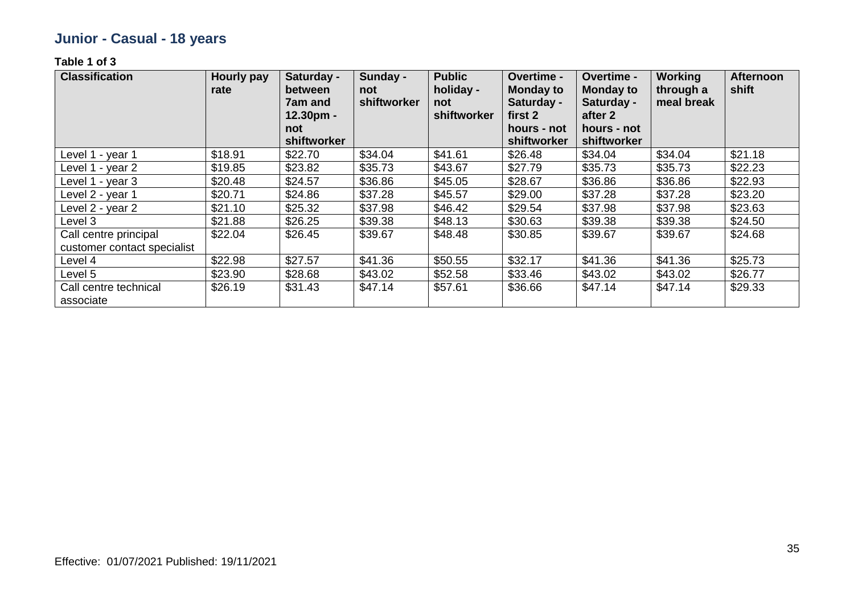## **Junior - Casual - 18 years**

| <b>Classification</b>                                | Hourly pay<br>rate | Saturday -<br>between<br>7am and<br>$12.30pm -$<br>not<br>shiftworker | Sunday -<br>not<br>shiftworker | <b>Public</b><br>holiday -<br>not<br>shiftworker | <b>Overtime -</b><br><b>Monday to</b><br>Saturday -<br>first 2<br>hours - not<br>shiftworker | Overtime -<br><b>Monday to</b><br>Saturday -<br>after 2<br>hours - not<br>shiftworker | Working<br>through a<br>meal break | <b>Afternoon</b><br>shift |
|------------------------------------------------------|--------------------|-----------------------------------------------------------------------|--------------------------------|--------------------------------------------------|----------------------------------------------------------------------------------------------|---------------------------------------------------------------------------------------|------------------------------------|---------------------------|
| Level 1 - year 1                                     | \$18.91            | \$22.70                                                               | \$34.04                        | \$41.61                                          | \$26.48                                                                                      | \$34.04                                                                               | \$34.04                            | \$21.18                   |
| Level 1 - year 2                                     | \$19.85            | \$23.82                                                               | \$35.73                        | \$43.67                                          | \$27.79                                                                                      | \$35.73                                                                               | \$35.73                            | \$22.23                   |
| Level 1 - year 3                                     | \$20.48            | \$24.57                                                               | \$36.86                        | \$45.05                                          | \$28.67                                                                                      | \$36.86                                                                               | \$36.86                            | \$22.93                   |
| Level 2 - year 1                                     | \$20.71            | \$24.86                                                               | \$37.28                        | \$45.57                                          | \$29.00                                                                                      | \$37.28                                                                               | \$37.28                            | \$23.20                   |
| Level 2 - year 2                                     | \$21.10            | \$25.32                                                               | \$37.98                        | \$46.42                                          | \$29.54                                                                                      | \$37.98                                                                               | \$37.98                            | \$23.63                   |
| Level 3                                              | \$21.88            | \$26.25                                                               | \$39.38                        | \$48.13                                          | \$30.63                                                                                      | \$39.38                                                                               | \$39.38                            | \$24.50                   |
| Call centre principal<br>customer contact specialist | \$22.04            | \$26.45                                                               | \$39.67                        | \$48.48                                          | \$30.85                                                                                      | \$39.67                                                                               | \$39.67                            | \$24.68                   |
| Level 4                                              | \$22.98            | \$27.57                                                               | \$41.36                        | \$50.55                                          | \$32.17                                                                                      | \$41.36                                                                               | \$41.36                            | \$25.73                   |
| Level 5                                              | \$23.90            | \$28.68                                                               | \$43.02                        | \$52.58                                          | \$33.46                                                                                      | \$43.02                                                                               | \$43.02                            | \$26.77                   |
| Call centre technical<br>associate                   | \$26.19            | \$31.43                                                               | \$47.14                        | \$57.61                                          | \$36.66                                                                                      | \$47.14                                                                               | \$47.14                            | \$29.33                   |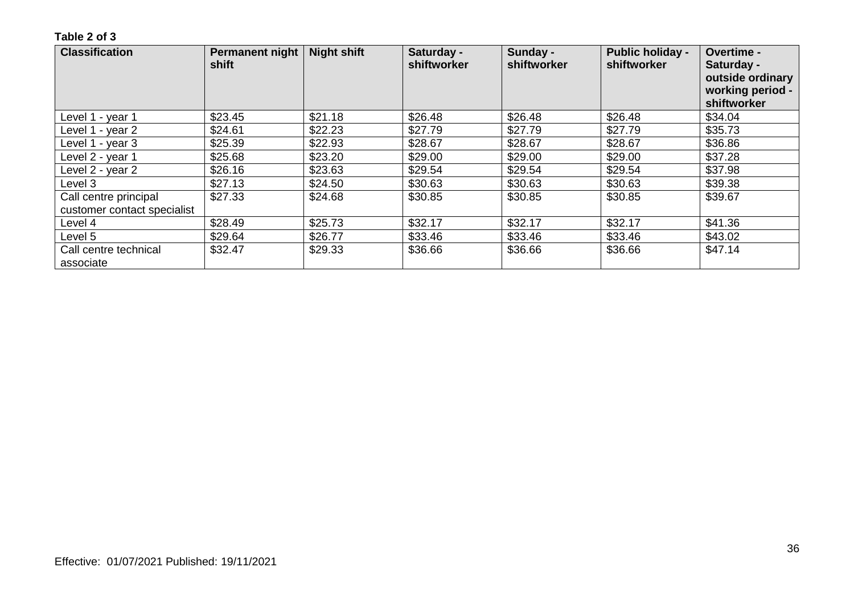| <b>Classification</b>              | Permanent night<br>shift | <b>Night shift</b> | Saturday -<br>shiftworker | Sunday -<br>shiftworker | <b>Public holiday -</b><br>shiftworker | Overtime -<br>Saturday -<br>outside ordinary<br>working period -<br>shiftworker |
|------------------------------------|--------------------------|--------------------|---------------------------|-------------------------|----------------------------------------|---------------------------------------------------------------------------------|
| Level 1 - year 1                   | \$23.45                  | \$21.18            | \$26.48                   | \$26.48                 | \$26.48                                | \$34.04                                                                         |
| Level 1 - year 2                   | \$24.61                  | \$22.23            | \$27.79                   | \$27.79                 | \$27.79                                | \$35.73                                                                         |
| Level 1 - year 3                   | \$25.39                  | \$22.93            | \$28.67                   | \$28.67                 | \$28.67                                | \$36.86                                                                         |
| Level 2 - year 1                   | \$25.68                  | \$23.20            | \$29.00                   | \$29.00                 | \$29.00                                | \$37.28                                                                         |
| Level 2 - year 2                   | \$26.16                  | \$23.63            | \$29.54                   | \$29.54                 | \$29.54                                | \$37.98                                                                         |
| Level 3                            | \$27.13                  | \$24.50            | \$30.63                   | \$30.63                 | \$30.63                                | \$39.38                                                                         |
| Call centre principal              | \$27.33                  | \$24.68            | \$30.85                   | \$30.85                 | \$30.85                                | \$39.67                                                                         |
| customer contact specialist        |                          |                    |                           |                         |                                        |                                                                                 |
| Level 4                            | \$28.49                  | \$25.73            | \$32.17                   | \$32.17                 | \$32.17                                | \$41.36                                                                         |
| Level 5                            | \$29.64                  | \$26.77            | \$33.46                   | \$33.46                 | \$33.46                                | \$43.02                                                                         |
| Call centre technical<br>associate | \$32.47                  | \$29.33            | \$36.66                   | \$36.66                 | \$36.66                                | \$47.14                                                                         |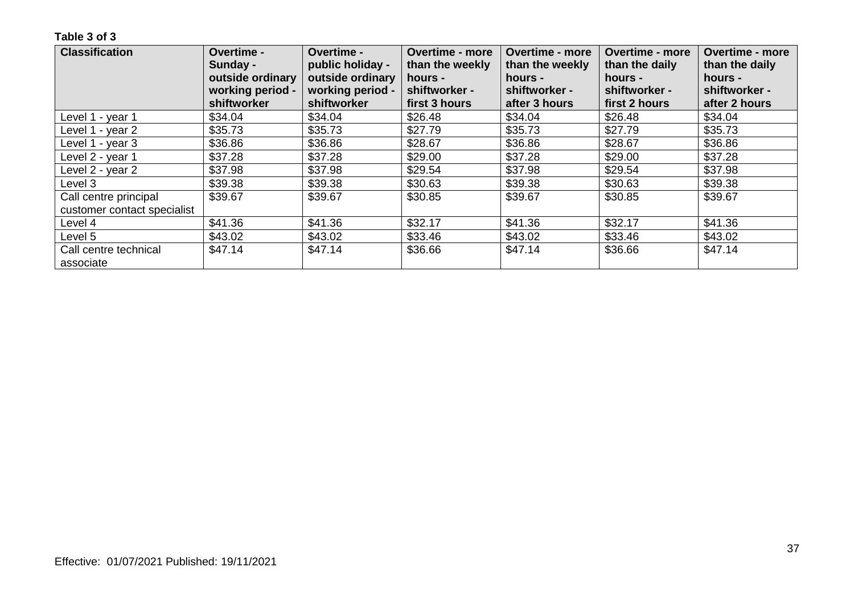| <b>Classification</b>              | Overtime -<br>Sunday -<br>outside ordinary | Overtime -<br>public holiday -<br>outside ordinary | <b>Overtime - more</b><br>than the weekly<br>hours - | <b>Overtime - more</b><br>than the weekly<br>hours - | <b>Overtime - more</b><br>than the daily<br>hours - | <b>Overtime - more</b><br>than the daily<br>hours - |
|------------------------------------|--------------------------------------------|----------------------------------------------------|------------------------------------------------------|------------------------------------------------------|-----------------------------------------------------|-----------------------------------------------------|
|                                    | working period -<br>shiftworker            | working period -<br>shiftworker                    | shiftworker -<br>first 3 hours                       | shiftworker -<br>after 3 hours                       | shiftworker -<br>first 2 hours                      | shiftworker -<br>after 2 hours                      |
| Level 1 - year 1                   | \$34.04                                    | \$34.04                                            | \$26.48                                              | \$34.04                                              | \$26.48                                             | \$34.04                                             |
| Level 1 - year 2                   | \$35.73                                    | \$35.73                                            | \$27.79                                              | \$35.73                                              | \$27.79                                             | \$35.73                                             |
| Level 1 - year 3                   | \$36.86                                    | \$36.86                                            | \$28.67                                              | \$36.86                                              | \$28.67                                             | \$36.86                                             |
| Level 2 - year 1                   | \$37.28                                    | \$37.28                                            | \$29.00                                              | \$37.28                                              | \$29.00                                             | \$37.28                                             |
| Level 2 - year 2                   | \$37.98                                    | \$37.98                                            | \$29.54                                              | \$37.98                                              | \$29.54                                             | \$37.98                                             |
| Level 3                            | \$39.38                                    | \$39.38                                            | \$30.63                                              | \$39.38                                              | \$30.63                                             | \$39.38                                             |
| Call centre principal              | \$39.67                                    | \$39.67                                            | \$30.85                                              | \$39.67                                              | \$30.85                                             | \$39.67                                             |
| customer contact specialist        |                                            |                                                    |                                                      |                                                      |                                                     |                                                     |
| Level 4                            | \$41.36                                    | \$41.36                                            | \$32.17                                              | \$41.36                                              | \$32.17                                             | \$41.36                                             |
| Level 5                            | \$43.02                                    | \$43.02                                            | \$33.46                                              | \$43.02                                              | \$33.46                                             | \$43.02                                             |
| Call centre technical<br>associate | \$47.14                                    | \$47.14                                            | \$36.66                                              | \$47.14                                              | \$36.66                                             | \$47.14                                             |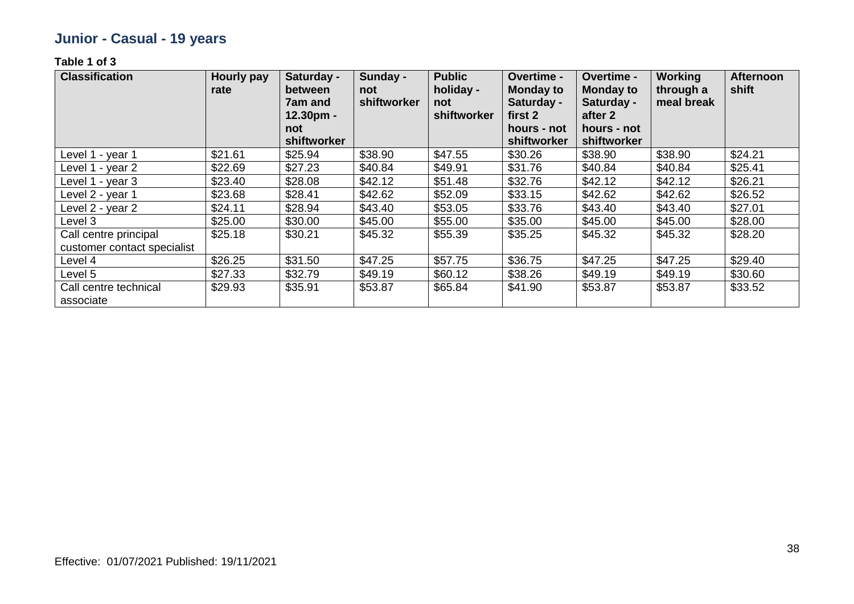## **Junior - Casual - 19 years**

| <b>Classification</b>                                | Hourly pay<br>rate | Saturday -<br>between<br>7am and<br>$12.30pm -$<br>not<br>shiftworker | Sunday -<br>not<br>shiftworker | <b>Public</b><br>holiday -<br>not<br>shiftworker | <b>Overtime -</b><br><b>Monday to</b><br>Saturday -<br>first 2<br>hours - not<br>shiftworker | Overtime -<br><b>Monday to</b><br>Saturday -<br>after 2<br>hours - not<br>shiftworker | Working<br>through a<br>meal break | <b>Afternoon</b><br>shift |
|------------------------------------------------------|--------------------|-----------------------------------------------------------------------|--------------------------------|--------------------------------------------------|----------------------------------------------------------------------------------------------|---------------------------------------------------------------------------------------|------------------------------------|---------------------------|
| Level 1 - year 1                                     | \$21.61            | \$25.94                                                               | \$38.90                        | \$47.55                                          | \$30.26                                                                                      | \$38.90                                                                               | \$38.90                            | \$24.21                   |
| Level 1 - year 2                                     | \$22.69            | \$27.23                                                               | \$40.84                        | \$49.91                                          | \$31.76                                                                                      | \$40.84                                                                               | \$40.84                            | \$25.41                   |
| Level 1 - year 3                                     | \$23.40            | \$28.08                                                               | \$42.12                        | \$51.48                                          | \$32.76                                                                                      | \$42.12                                                                               | \$42.12                            | \$26.21                   |
| Level 2 - year 1                                     | \$23.68            | \$28.41                                                               | \$42.62                        | \$52.09                                          | \$33.15                                                                                      | \$42.62                                                                               | \$42.62                            | \$26.52                   |
| Level 2 - year 2                                     | \$24.11            | \$28.94                                                               | \$43.40                        | \$53.05                                          | \$33.76                                                                                      | \$43.40                                                                               | \$43.40                            | \$27.01                   |
| Level 3                                              | \$25.00            | \$30.00                                                               | \$45.00                        | \$55.00                                          | \$35.00                                                                                      | \$45.00                                                                               | \$45.00                            | \$28.00                   |
| Call centre principal<br>customer contact specialist | \$25.18            | \$30.21                                                               | \$45.32                        | \$55.39                                          | \$35.25                                                                                      | \$45.32                                                                               | \$45.32                            | \$28.20                   |
| Level 4                                              | \$26.25            | \$31.50                                                               | \$47.25                        | \$57.75                                          | \$36.75                                                                                      | \$47.25                                                                               | \$47.25                            | \$29.40                   |
| Level 5                                              | \$27.33            | \$32.79                                                               | \$49.19                        | \$60.12                                          | \$38.26                                                                                      | \$49.19                                                                               | \$49.19                            | \$30.60                   |
| Call centre technical<br>associate                   | \$29.93            | \$35.91                                                               | \$53.87                        | \$65.84                                          | \$41.90                                                                                      | \$53.87                                                                               | \$53.87                            | \$33.52                   |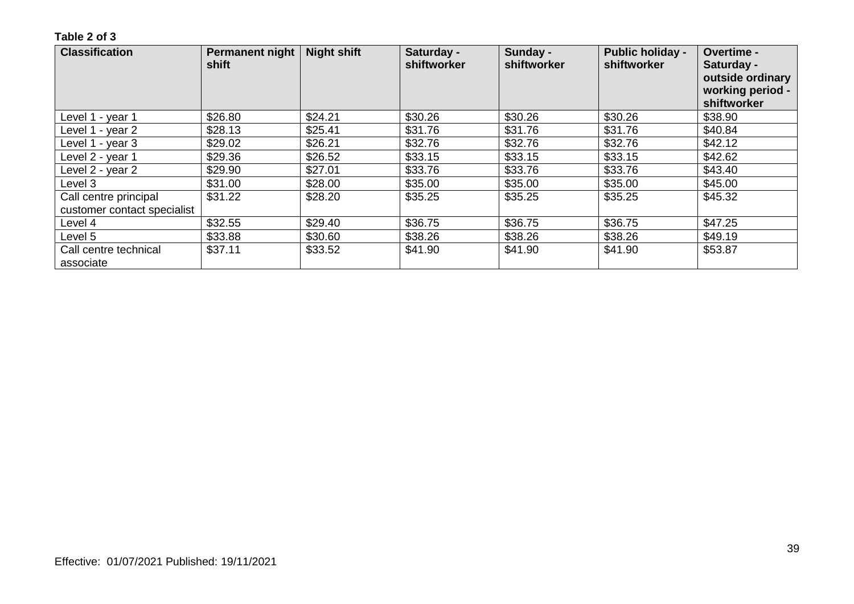| <b>Classification</b>              | <b>Permanent night</b><br>shift | <b>Night shift</b> | Saturday -<br>shiftworker | Sunday -<br>shiftworker | <b>Public holiday -</b><br>shiftworker | Overtime -<br>Saturday -<br>outside ordinary<br>working period -<br>shiftworker |
|------------------------------------|---------------------------------|--------------------|---------------------------|-------------------------|----------------------------------------|---------------------------------------------------------------------------------|
| Level 1 - year 1                   | \$26.80                         | \$24.21            | \$30.26                   | \$30.26                 | \$30.26                                | \$38.90                                                                         |
| Level 1 - year 2                   | \$28.13                         | \$25.41            | \$31.76                   | \$31.76                 | \$31.76                                | \$40.84                                                                         |
| Level 1 - year 3                   | \$29.02                         | \$26.21            | \$32.76                   | \$32.76                 | \$32.76                                | \$42.12                                                                         |
| Level 2 - year 1                   | \$29.36                         | \$26.52            | \$33.15                   | \$33.15                 | \$33.15                                | \$42.62                                                                         |
| Level 2 - year 2                   | \$29.90                         | \$27.01            | \$33.76                   | \$33.76                 | \$33.76                                | \$43.40                                                                         |
| Level 3                            | \$31.00                         | \$28.00            | \$35.00                   | \$35.00                 | \$35.00                                | \$45.00                                                                         |
| Call centre principal              | \$31.22                         | \$28.20            | \$35.25                   | \$35.25                 | \$35.25                                | \$45.32                                                                         |
| customer contact specialist        |                                 |                    |                           |                         |                                        |                                                                                 |
| Level 4                            | \$32.55                         | \$29.40            | \$36.75                   | \$36.75                 | \$36.75                                | \$47.25                                                                         |
| Level 5                            | \$33.88                         | \$30.60            | \$38.26                   | \$38.26                 | \$38.26                                | \$49.19                                                                         |
| Call centre technical<br>associate | \$37.11                         | \$33.52            | \$41.90                   | \$41.90                 | \$41.90                                | \$53.87                                                                         |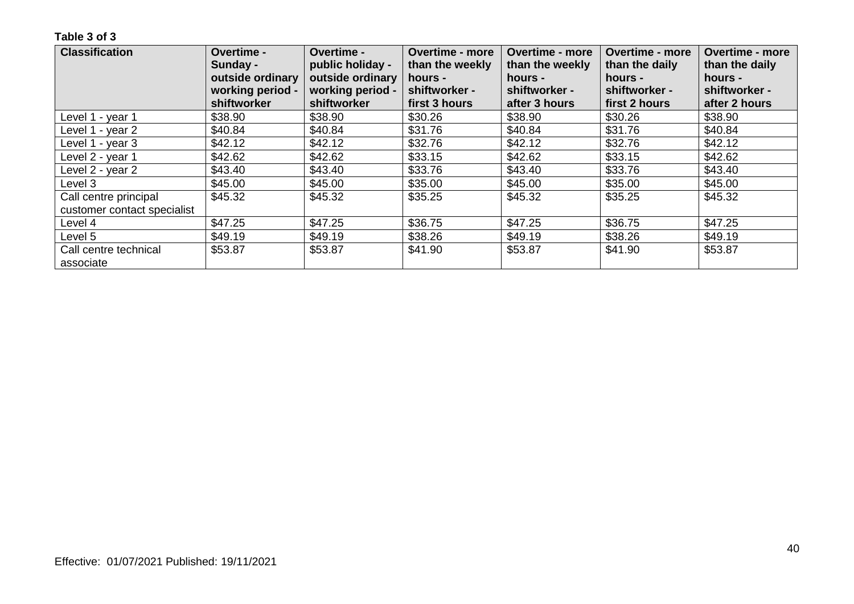| <b>Classification</b>       | Overtime -       | Overtime -       | <b>Overtime - more</b> | <b>Overtime - more</b> | <b>Overtime - more</b> | <b>Overtime - more</b> |
|-----------------------------|------------------|------------------|------------------------|------------------------|------------------------|------------------------|
|                             | Sunday -         | public holiday - | than the weekly        | than the weekly        | than the daily         | than the daily         |
|                             | outside ordinary | outside ordinary | hours -                | hours -                | hours -                | hours -                |
|                             | working period - | working period - | shiftworker -          | shiftworker -          | shiftworker -          | shiftworker -          |
|                             | shiftworker      | shiftworker      | first 3 hours          | after 3 hours          | first 2 hours          | after 2 hours          |
| Level 1 - year 1            | \$38.90          | \$38.90          | \$30.26                | \$38.90                | \$30.26                | \$38.90                |
| Level 1 - year 2            | \$40.84          | \$40.84          | \$31.76                | \$40.84                | \$31.76                | \$40.84                |
| Level 1 - year 3            | \$42.12          | \$42.12          | \$32.76                | \$42.12                | \$32.76                | \$42.12                |
| Level 2 - year 1            | \$42.62          | \$42.62          | \$33.15                | \$42.62                | \$33.15                | \$42.62                |
| Level 2 - year 2            | \$43.40          | \$43.40          | \$33.76                | \$43.40                | \$33.76                | \$43.40                |
| Level 3                     | \$45.00          | \$45.00          | \$35.00                | \$45.00                | \$35.00                | \$45.00                |
| Call centre principal       | \$45.32          | \$45.32          | \$35.25                | \$45.32                | \$35.25                | \$45.32                |
| customer contact specialist |                  |                  |                        |                        |                        |                        |
| Level 4                     | \$47.25          | \$47.25          | \$36.75                | \$47.25                | \$36.75                | \$47.25                |
| Level 5                     | \$49.19          | \$49.19          | \$38.26                | \$49.19                | \$38.26                | \$49.19                |
| Call centre technical       | \$53.87          | \$53.87          | \$41.90                | \$53.87                | \$41.90                | \$53.87                |
| associate                   |                  |                  |                        |                        |                        |                        |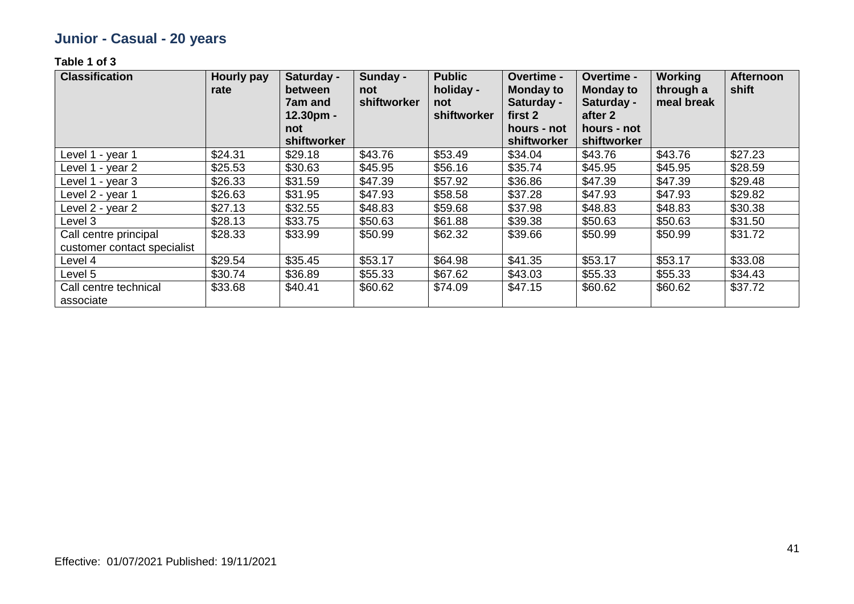## **Junior - Casual - 20 years**

| <b>Classification</b>                                | Hourly pay<br>rate | Saturday -<br>between<br><b>7am and</b><br>$12.30pm$ -<br>not<br>shiftworker | Sunday -<br>not<br>shiftworker | <b>Public</b><br>holiday -<br>not<br>shiftworker | <b>Overtime -</b><br><b>Monday to</b><br>Saturday -<br>first 2<br>hours - not<br>shiftworker | Overtime -<br><b>Monday to</b><br>Saturday -<br>after 2<br>hours - not<br>shiftworker | <b>Working</b><br>through a<br>meal break | <b>Afternoon</b><br>shift |
|------------------------------------------------------|--------------------|------------------------------------------------------------------------------|--------------------------------|--------------------------------------------------|----------------------------------------------------------------------------------------------|---------------------------------------------------------------------------------------|-------------------------------------------|---------------------------|
| Level 1 - year 1                                     | \$24.31            | \$29.18                                                                      | \$43.76                        | \$53.49                                          | \$34.04                                                                                      | \$43.76                                                                               | \$43.76                                   | \$27.23                   |
| Level 1 - year 2                                     | \$25.53            | \$30.63                                                                      | \$45.95                        | \$56.16                                          | \$35.74                                                                                      | \$45.95                                                                               | \$45.95                                   | \$28.59                   |
| Level 1 - year 3                                     | \$26.33            | \$31.59                                                                      | \$47.39                        | \$57.92                                          | \$36.86                                                                                      | \$47.39                                                                               | \$47.39                                   | \$29.48                   |
| Level 2 - year 1                                     | \$26.63            | \$31.95                                                                      | \$47.93                        | \$58.58                                          | \$37.28                                                                                      | \$47.93                                                                               | \$47.93                                   | \$29.82                   |
| Level 2 - year 2                                     | \$27.13            | \$32.55                                                                      | \$48.83                        | \$59.68                                          | \$37.98                                                                                      | \$48.83                                                                               | \$48.83                                   | \$30.38                   |
| Level 3                                              | \$28.13            | \$33.75                                                                      | \$50.63                        | \$61.88                                          | \$39.38                                                                                      | \$50.63                                                                               | \$50.63                                   | \$31.50                   |
| Call centre principal<br>customer contact specialist | \$28.33            | \$33.99                                                                      | \$50.99                        | \$62.32                                          | \$39.66                                                                                      | \$50.99                                                                               | \$50.99                                   | \$31.72                   |
| Level 4                                              | \$29.54            | \$35.45                                                                      | \$53.17                        | \$64.98                                          | \$41.35                                                                                      | \$53.17                                                                               | \$53.17                                   | \$33.08                   |
| Level 5                                              | \$30.74            | \$36.89                                                                      | \$55.33                        | \$67.62                                          | \$43.03                                                                                      | \$55.33                                                                               | \$55.33                                   | \$34.43                   |
| Call centre technical<br>associate                   | \$33.68            | \$40.41                                                                      | \$60.62                        | \$74.09                                          | \$47.15                                                                                      | \$60.62                                                                               | \$60.62                                   | \$37.72                   |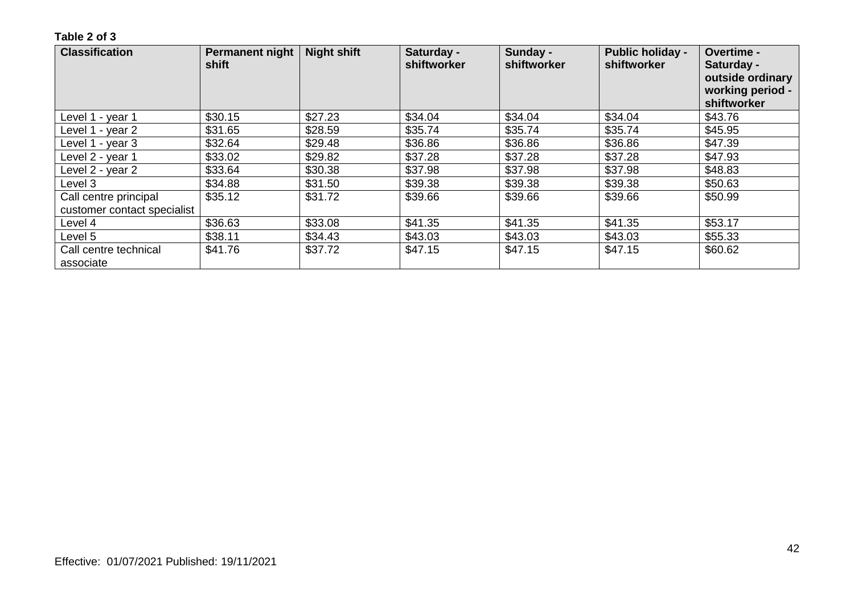| <b>Classification</b>              | <b>Permanent night</b><br>shift | <b>Night shift</b> | Saturday -<br>shiftworker | Sunday -<br>shiftworker | <b>Public holiday -</b><br>shiftworker | Overtime -<br>Saturday -<br>outside ordinary<br>working period -<br>shiftworker |
|------------------------------------|---------------------------------|--------------------|---------------------------|-------------------------|----------------------------------------|---------------------------------------------------------------------------------|
| Level 1 - year 1                   | \$30.15                         | \$27.23            | \$34.04                   | \$34.04                 | \$34.04                                | \$43.76                                                                         |
| Level 1 - year 2                   | \$31.65                         | \$28.59            | \$35.74                   | \$35.74                 | \$35.74                                | \$45.95                                                                         |
| Level 1 - year 3                   | \$32.64                         | \$29.48            | \$36.86                   | \$36.86                 | \$36.86                                | \$47.39                                                                         |
| Level 2 - year 1                   | \$33.02                         | \$29.82            | \$37.28                   | \$37.28                 | \$37.28                                | \$47.93                                                                         |
| Level 2 - year 2                   | \$33.64                         | \$30.38            | \$37.98                   | \$37.98                 | \$37.98                                | \$48.83                                                                         |
| Level 3                            | \$34.88                         | \$31.50            | \$39.38                   | \$39.38                 | \$39.38                                | \$50.63                                                                         |
| Call centre principal              | \$35.12                         | \$31.72            | \$39.66                   | \$39.66                 | \$39.66                                | \$50.99                                                                         |
| customer contact specialist        |                                 |                    |                           |                         |                                        |                                                                                 |
| Level 4                            | \$36.63                         | \$33.08            | \$41.35                   | \$41.35                 | \$41.35                                | \$53.17                                                                         |
| Level 5                            | \$38.11                         | \$34.43            | \$43.03                   | \$43.03                 | \$43.03                                | \$55.33                                                                         |
| Call centre technical<br>associate | \$41.76                         | \$37.72            | \$47.15                   | \$47.15                 | \$47.15                                | \$60.62                                                                         |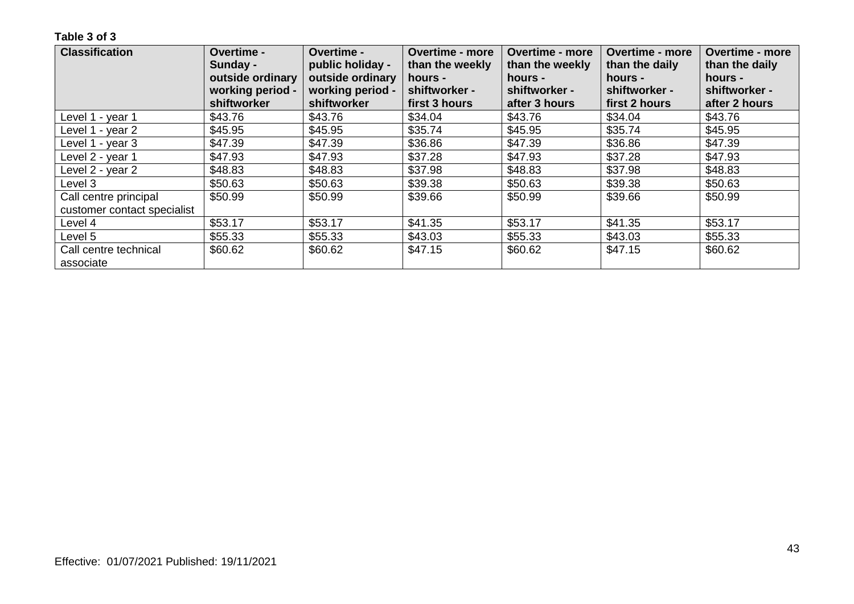| <b>Classification</b>       | Overtime -       | <b>Overtime -</b> | <b>Overtime - more</b> | <b>Overtime - more</b> | <b>Overtime - more</b> | <b>Overtime - more</b> |
|-----------------------------|------------------|-------------------|------------------------|------------------------|------------------------|------------------------|
|                             | Sunday -         | public holiday -  | than the weekly        | than the weekly        | than the daily         | than the daily         |
|                             | outside ordinary | outside ordinary  | hours -                | hours -                | hours -                | hours -                |
|                             | working period - | working period -  | shiftworker -          | shiftworker -          | shiftworker -          | shiftworker -          |
|                             | shiftworker      | shiftworker       | first 3 hours          | after 3 hours          | first 2 hours          | after 2 hours          |
| Level 1 - year 1            | \$43.76          | \$43.76           | \$34.04                | \$43.76                | \$34.04                | \$43.76                |
| Level 1 - year 2            | \$45.95          | \$45.95           | \$35.74                | \$45.95                | \$35.74                | \$45.95                |
| Level 1 - year 3            | \$47.39          | \$47.39           | \$36.86                | \$47.39                | \$36.86                | \$47.39                |
| Level 2 - year 1            | \$47.93          | \$47.93           | \$37.28                | \$47.93                | \$37.28                | \$47.93                |
| Level 2 - year 2            | \$48.83          | \$48.83           | \$37.98                | \$48.83                | \$37.98                | \$48.83                |
| Level 3                     | \$50.63          | \$50.63           | \$39.38                | \$50.63                | \$39.38                | \$50.63                |
| Call centre principal       | \$50.99          | \$50.99           | \$39.66                | \$50.99                | \$39.66                | \$50.99                |
| customer contact specialist |                  |                   |                        |                        |                        |                        |
| Level 4                     | \$53.17          | \$53.17           | \$41.35                | \$53.17                | \$41.35                | \$53.17                |
| Level 5                     | \$55.33          | \$55.33           | \$43.03                | \$55.33                | \$43.03                | \$55.33                |
| Call centre technical       | \$60.62          | \$60.62           | \$47.15                | \$60.62                | \$47.15                | \$60.62                |
| associate                   |                  |                   |                        |                        |                        |                        |